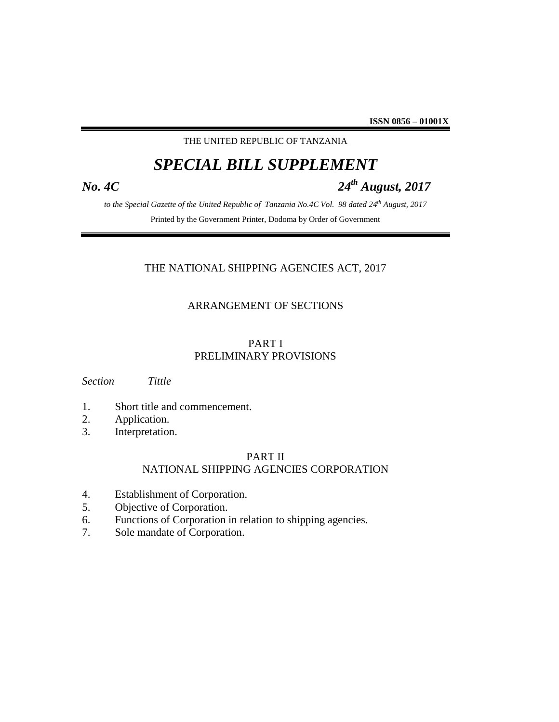THE UNITED REPUBLIC OF TANZANIA

# *SPECIAL BILL SUPPLEMENT*

# *No. 4C 24th August, 2017*

*to the Special Gazette of the United Republic of Tanzania No.4C Vol. 98 dated 24th August, 2017* Printed by the Government Printer, Dodoma by Order of Government

# THE NATIONAL SHIPPING AGENCIES ACT, 2017

# ARRANGEMENT OF SECTIONS

# PART I PRELIMINARY PROVISIONS

*Section Tittle*

- 1. Short title and commencement.
- 2. Application.
- 3. Interpretation.

# PART II

# NATIONAL SHIPPING AGENCIES CORPORATION

- 4. Establishment of Corporation.
- 5. Objective of Corporation.
- 6. Functions of Corporation in relation to shipping agencies.
- 7. Sole mandate of Corporation.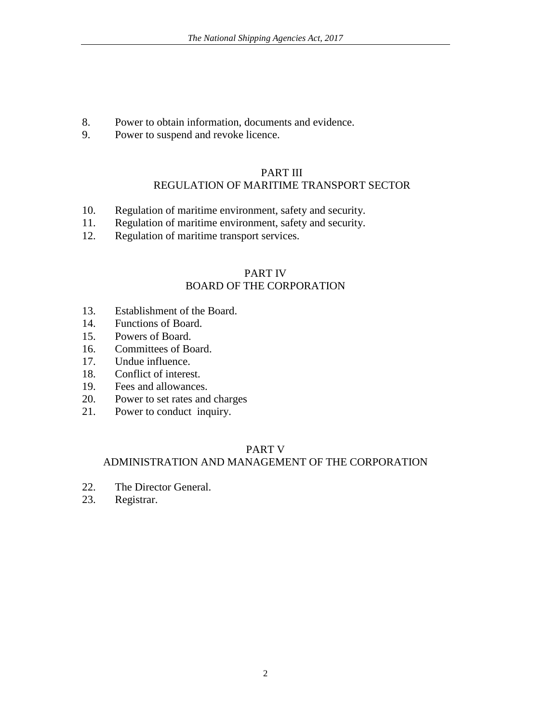- 8. Power to obtain information, documents and evidence.
- 9. Power to suspend and revoke licence.

# PART III REGULATION OF MARITIME TRANSPORT SECTOR

- 10. Regulation of maritime environment, safety and security.
- 11. Regulation of maritime environment, safety and security.
- 12. Regulation of maritime transport services.

# PART IV BOARD OF THE CORPORATION

- 13. Establishment of the Board.
- 14. Functions of Board.
- 15. Powers of Board.
- 16. Committees of Board.
- 17. Undue influence.
- 18. Conflict of interest.
- 19. Fees and allowances.
- 20. Power to set rates and charges
- 21. Power to conduct inquiry.

# PART V

# ADMINISTRATION AND MANAGEMENT OF THE CORPORATION

- 22. The Director General.
- 23. Registrar.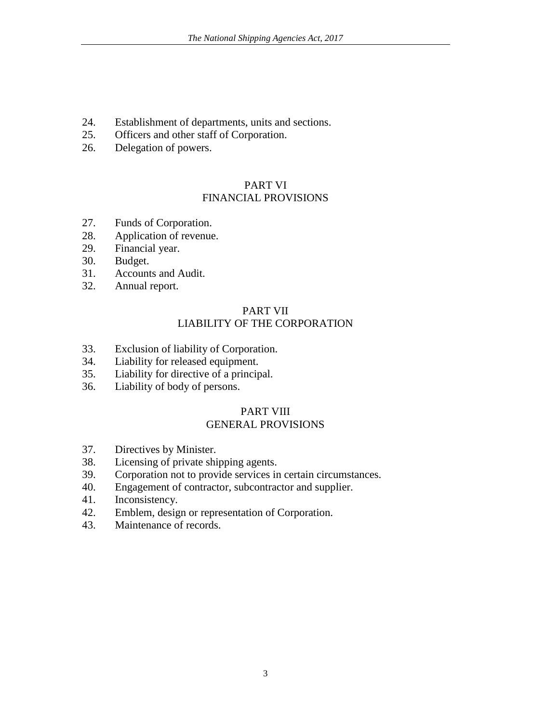- 24. Establishment of departments, units and sections.
- 25. Officers and other staff of Corporation.
- 26. Delegation of powers.

# PART VI

# FINANCIAL PROVISIONS

- 27. Funds of Corporation.
- 28. Application of revenue.
- 29. Financial year.
- 30. Budget.
- 31. Accounts and Audit.
- 32. Annual report.

### PART VII LIABILITY OF THE CORPORATION

- 33. Exclusion of liability of Corporation.
- 34. Liability for released equipment.
- 35. Liability for directive of a principal.
- 36. Liability of body of persons.

# PART VIII

# GENERAL PROVISIONS

- 37. Directives by Minister.
- 38. Licensing of private shipping agents.
- 39. Corporation not to provide services in certain circumstances.
- 40. Engagement of contractor, subcontractor and supplier.
- 41. Inconsistency.
- 42. Emblem, design or representation of Corporation.
- 43. Maintenance of records.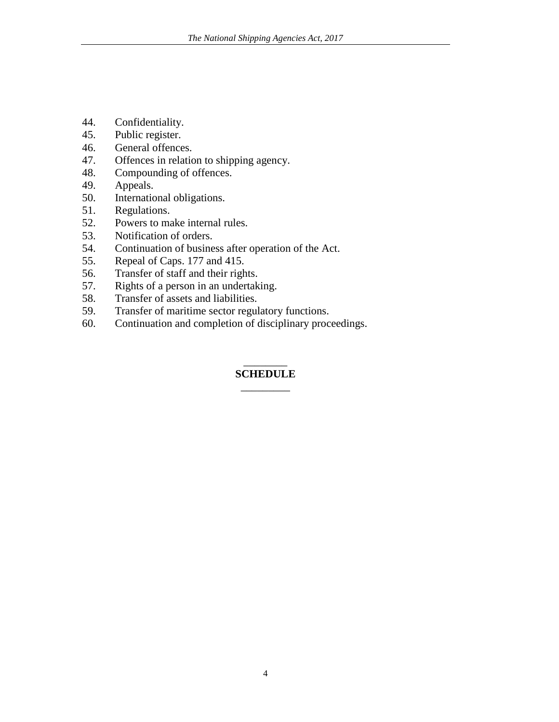- 44. Confidentiality.
- 45. Public register.
- 46. General offences.
- 47. Offences in relation to shipping agency.
- 48. Compounding of offences.
- 49. Appeals.
- 50. International obligations.
- 51. Regulations.
- 52. Powers to make internal rules.
- 53. Notification of orders.
- 54. Continuation of business after operation of the Act.
- 55. Repeal of Caps. 177 and 415.
- 56. Transfer of staff and their rights.
- 57. Rights of a person in an undertaking.
- 58. Transfer of assets and liabilities.
- 59. Transfer of maritime sector regulatory functions.
- 60. Continuation and completion of disciplinary proceedings.

# \_\_\_\_\_\_\_\_ **SCHEDULE** \_\_\_\_\_\_\_\_\_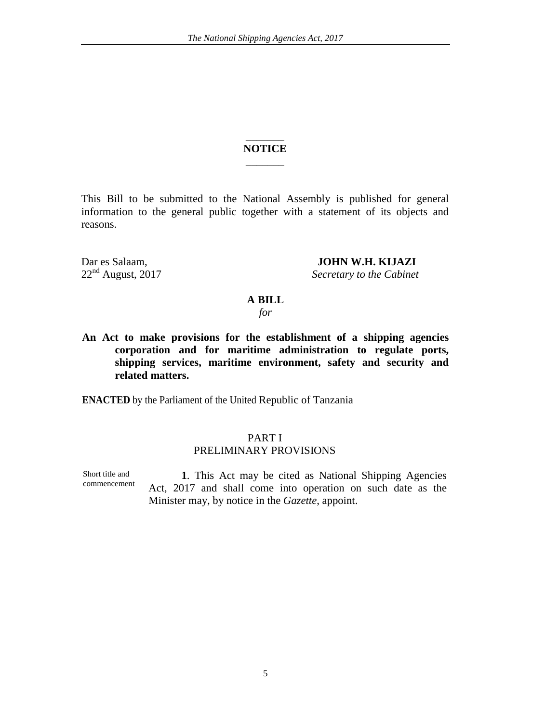# $\overline{\phantom{a}}$ **NOTICE**  $\overline{\phantom{a}}$

This Bill to be submitted to the National Assembly is published for general information to the general public together with a statement of its objects and reasons.

Dar es Salaam, **JOHN W.H. KIJAZI**<br>22<sup>nd</sup> August, 2017 Secretary to the Cabinet

**Secretary to the Cabinet** 

#### **A BILL**

*for*

**An Act to make provisions for the establishment of a shipping agencies corporation and for maritime administration to regulate ports, shipping services, maritime environment, safety and security and related matters.**

**ENACTED** by the Parliament of the United Republic of Tanzania

## PART I PRELIMINARY PROVISIONS

Short title and commencement

**1**. This Act may be cited as National Shipping Agencies Act, 2017 and shall come into operation on such date as the Minister may, by notice in the *Gazette*, appoint.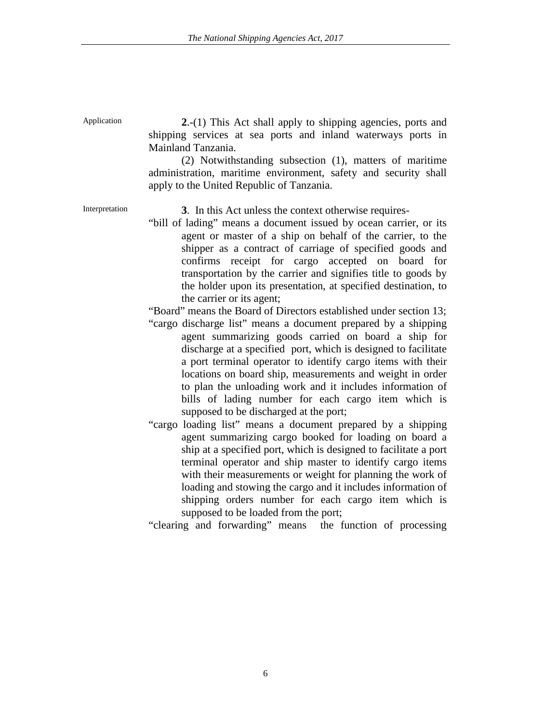Application **2.-(1)** This Act shall apply to shipping agencies, ports and shipping services at sea ports and inland waterways ports in Mainland Tanzania.

> (2) Notwithstanding subsection (1), matters of maritime administration, maritime environment, safety and security shall apply to the United Republic of Tanzania.

Interpretation **3**. In this Act unless the context otherwise requires-

"bill of lading" means a [document](http://www.businessdictionary.com/definition/document.html) issued by ocean [carrier,](http://www.businessdictionary.com/definition/carrier.html) or its [agent](http://www.businessdictionary.com/definition/agent.html) or master of a ship on behalf of the carrier, to the [shipper](http://www.businessdictionary.com/definition/shipper.html) as a [contract of carriage](http://www.businessdictionary.com/definition/contract-of-carriage.html) of specified [goods](http://www.businessdictionary.com/definition/goods.html) and confirms [receipt](http://www.businessdictionary.com/definition/receipt.html) for [cargo](http://www.businessdictionary.com/definition/cargo.html) accepted on board for [transportation](http://www.businessdictionary.com/definition/transportation.html) by the carrier and signifies title to goods by the holder upon its presentation, at specified destination, to the carrier or its agent;

"Board" means the Board of Directors established under section 13;

- "cargo discharge list" means a document prepared by a shipping agent summarizing goods carried on board a ship for discharge at a specified port, which is designed to facilitate a port terminal operator to identify cargo items with their locations on board ship, measurements and weight in order to plan the unloading work and it includes information of bills of lading number for each cargo item which is supposed to be discharged at the port;
- "cargo loading list" means a document prepared by a shipping agent summarizing cargo booked for loading on board a ship at a specified port, which is designed to facilitate a port terminal operator and ship master to identify cargo items with their measurements or weight for planning the work of loading and stowing the cargo and it includes information of shipping orders number for each cargo item which is supposed to be loaded from the port;

"clearing and forwarding" means the function of processing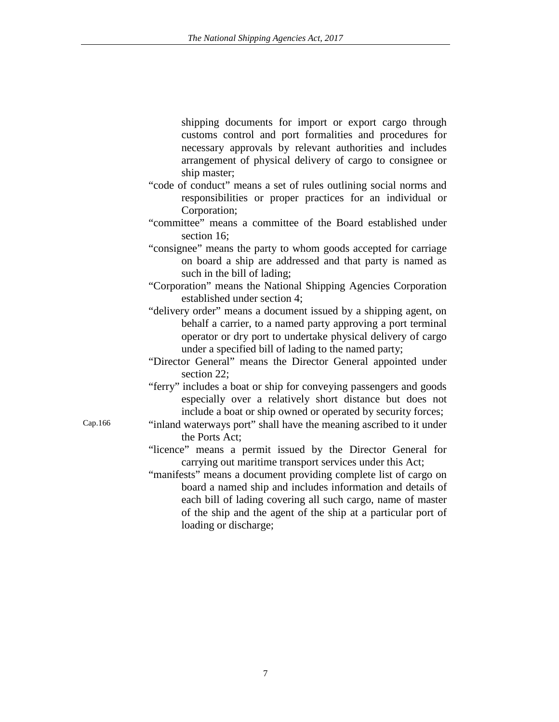shipping documents for import or export cargo through customs control and port formalities and procedures for necessary approvals by relevant authorities and includes arrangement of physical delivery of cargo to consignee or ship master;

- "code of conduct" means a set of rules outlining social norms and responsibilities or proper practices for an individual or Corporation;
- "committee" means a committee of the Board established under section 16;
- "consignee" means the party to whom goods accepted for carriage on board a ship are addressed and that party is named as such in the bill of lading;
- "Corporation" means the National Shipping Agencies Corporation established under section 4;
- "delivery order" means a document issued by a shipping agent, on behalf a carrier, to a named party approving a port terminal operator or dry port to undertake physical delivery of cargo under a specified bill of lading to the named party;
- "Director General" means the Director General appointed under section 22:
- "ferry" includes a boat or ship for conveying passengers and goods especially over a relatively short distance but does not include a boat or ship owned or operated by security forces;
- Cap.166 "inland waterways port" shall have the meaning ascribed to it under the Ports Act;
	- "licence" means a permit issued by the Director General for carrying out maritime transport services under this Act;
	- "manifests" means a document providing complete list of cargo on board a named ship and includes information and details of each bill of lading covering all such cargo, name of master of the ship and the agent of the ship at a particular port of loading or discharge;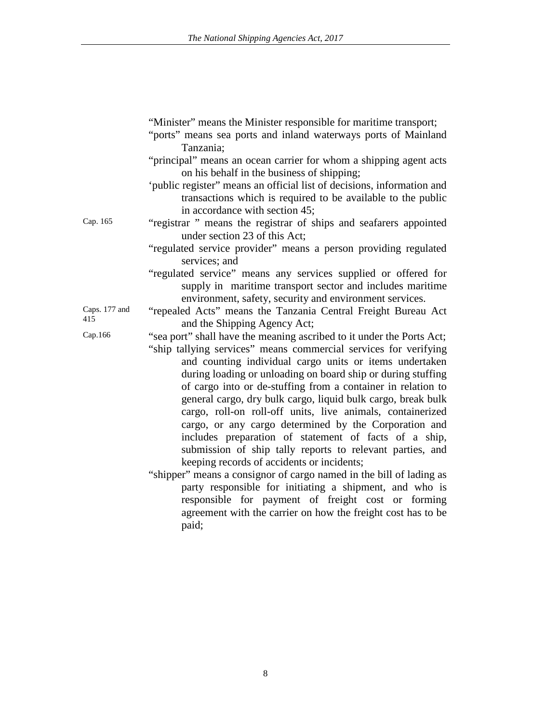"Minister" means the Minister responsible for maritime transport;

- "ports" means sea ports and inland waterways ports of Mainland Tanzania;
- "principal" means an ocean carrier for whom a shipping agent acts on his behalf in the business of shipping;
- 'public register" means an official list of decisions, information and transactions which is required to be available to the public in accordance with section 45;
- Cap. 165 "registrar " means the registrar of ships and seafarers appointed under section 23 of this Act;
	- "regulated service provider" means a person providing regulated services; and
	- "regulated service" means any services supplied or offered for supply in maritime transport sector and includes maritime environment, safety, security and environment services.

Caps. 177 and "repealed Acts" means the Tanzania Central Freight Bureau Act 415 and the Shipping Agency Act;

- Cap.166 "sea port" shall have the meaning ascribed to it under the Ports Act; "ship tallying services" means commercial services for verifying and counting individual cargo units or items undertaken during loading or unloading on board ship or during stuffing of cargo into or de-stuffing from a container in relation to general cargo, dry bulk cargo, liquid bulk cargo, break bulk cargo, roll-on roll-off units, live animals, containerized cargo, or any cargo determined by the Corporation and includes preparation of statement of facts of a ship, submission of ship tally reports to relevant parties, and keeping records of accidents or incidents;
	- "shipper" means a consignor of cargo named in the bill of lading as party responsible for initiating a shipment, and who is responsible for payment of freight cost or forming agreement with the carrier on how the freight cost has to be paid;

Caps. 177 and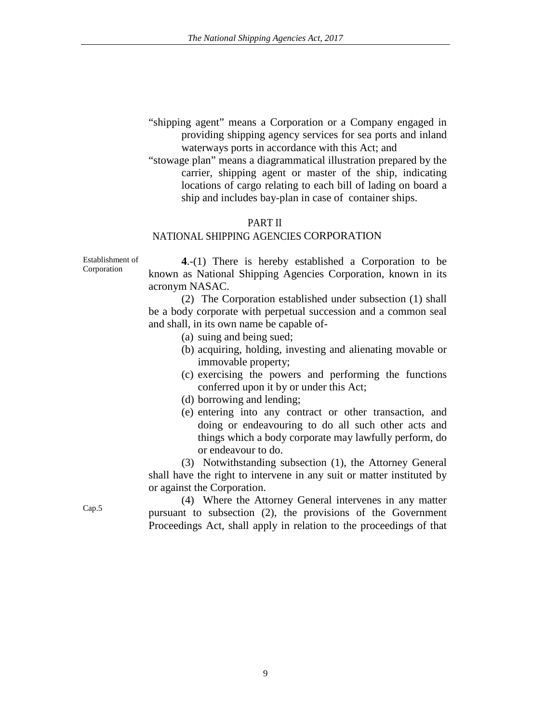- "shipping agent" means a Corporation or a Company engaged in providing shipping agency services for sea ports and inland waterways ports in accordance with this Act; and
- "stowage plan" means a diagrammatical illustration prepared by the carrier, shipping agent or master of the ship, indicating locations of cargo relating to each bill of lading on board a ship and includes bay-plan in case of container ships.

### PART II

# NATIONAL SHIPPING AGENCIES CORPORATION

Establishment of Corporation

**4**.-(1) There is hereby established a Corporation to be known as National Shipping Agencies Corporation, known in its acronym NASAC.

(2) The Corporation established under subsection (1) shall be a body corporate with perpetual succession and a common seal and shall, in its own name be capable of-

- (a) suing and being sued;
- (b) acquiring, holding, investing and alienating movable or immovable property;
- (c) exercising the powers and performing the functions conferred upon it by or under this Act;
- (d) borrowing and lending;
- (e) entering into any contract or other transaction, and doing or endeavouring to do all such other acts and things which a body corporate may lawfully perform, do or endeavour to do.

(3) Notwithstanding subsection (1), the Attorney General shall have the right to intervene in any suit or matter instituted by or against the Corporation.

Cap.5 (4) Where the Attorney General intervenes in any matter pursuant to subsection (2), the provisions of the Government Proceedings Act, shall apply in relation to the proceedings of that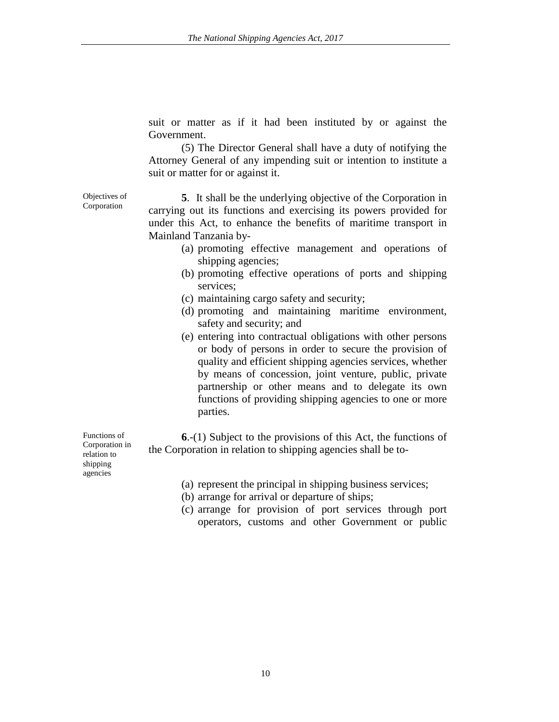suit or matter as if it had been instituted by or against the Government.

(5) The Director General shall have a duty of notifying the Attorney General of any impending suit or intention to institute a suit or matter for or against it.

**5**. It shall be the underlying objective of the Corporation in carrying out its functions and exercising its powers provided for under this Act, to enhance the benefits of maritime transport in Mainland Tanzania by-

- (a) promoting effective management and operations of shipping agencies;
- (b) promoting effective operations of ports and shipping services;
- (c) maintaining cargo safety and security;
- (d) promoting and maintaining maritime environment, safety and security; and
- (e) entering into contractual obligations with other persons or body of persons in order to secure the provision of quality and efficient shipping agencies services, whether by means of concession, joint venture, public, private partnership or other means and to delegate its own functions of providing shipping agencies to one or more parties.

**6**.-(1) Subject to the provisions of this Act, the functions of the Corporation in relation to shipping agencies shall be to-

- (a) represent the principal in shipping business services;
- (b) arrange for arrival or departure of ships;
- (c) arrange for provision of port services through port operators, customs and other Government or public

Functions of Corporation in relation to shipping agencies

Objectives of Corporation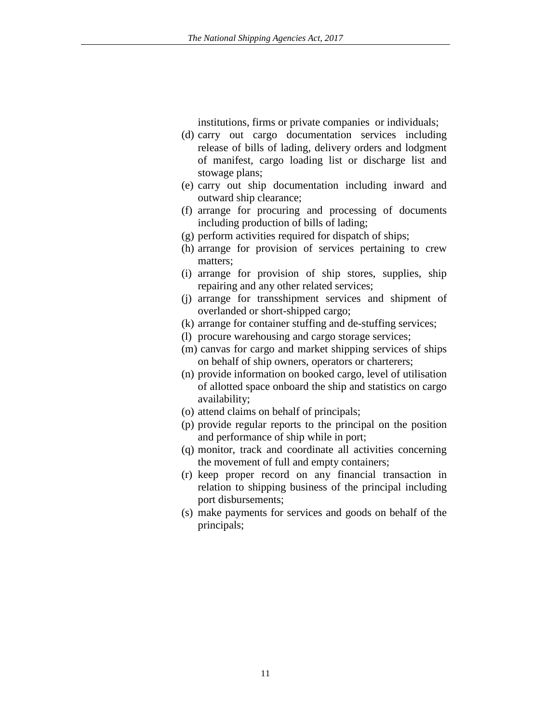institutions, firms or private companies or individuals;

- (d) carry out cargo documentation services including release of bills of lading, delivery orders and lodgment of manifest, cargo loading list or discharge list and stowage plans;
- (e) carry out ship documentation including inward and outward ship clearance;
- (f) arrange for procuring and processing of documents including production of bills of lading;
- (g) perform activities required for dispatch of ships;
- (h) arrange for provision of services pertaining to crew matters;
- (i) arrange for provision of ship stores, supplies, ship repairing and any other related services;
- (j) arrange for transshipment services and shipment of overlanded or short-shipped cargo;
- (k) arrange for container stuffing and de-stuffing services;
- (l) procure warehousing and cargo storage services;
- (m) canvas for cargo and market shipping services of ships on behalf of ship owners, operators or charterers;
- (n) provide information on booked cargo, level of utilisation of allotted space onboard the ship and statistics on cargo availability;
- (o) attend claims on behalf of principals;
- (p) provide regular reports to the principal on the position and performance of ship while in port;
- (q) monitor, track and coordinate all activities concerning the movement of full and empty containers;
- (r) keep proper record on any financial transaction in relation to shipping business of the principal including port disbursements;
- (s) make payments for services and goods on behalf of the principals;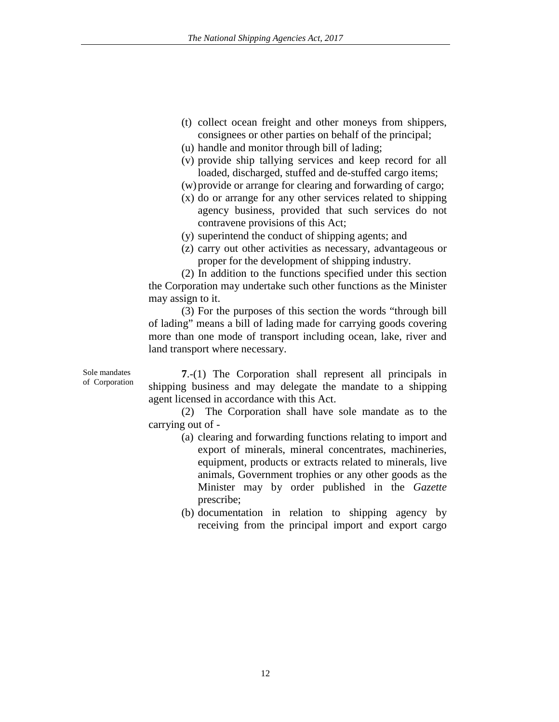- (t) collect ocean freight and other moneys from shippers, consignees or other parties on behalf of the principal;
- (u) handle and monitor through bill of lading;
- (v) provide ship tallying services and keep record for all loaded, discharged, stuffed and de-stuffed cargo items;
- (w)provide or arrange for clearing and forwarding of cargo;
- (x) do or arrange for any other services related to shipping agency business, provided that such services do not contravene provisions of this Act;
- (y) superintend the conduct of shipping agents; and
- (z) carry out other activities as necessary, advantageous or proper for the development of shipping industry.

(2) In addition to the functions specified under this section the Corporation may undertake such other functions as the Minister may assign to it.

(3) For the purposes of this section the words "through bill of lading" means a bill of lading made for carrying goods covering more than one mode of transport including ocean, lake, river and land transport where necessary.

Sole mandates of Corporation

**7**.-(1) The Corporation shall represent all principals in shipping business and may delegate the mandate to a shipping agent licensed in accordance with this Act.

(2) The Corporation shall have sole mandate as to the carrying out of -

- (a) clearing and forwarding functions relating to import and export of minerals, mineral concentrates, machineries, equipment, products or extracts related to minerals, live animals, Government trophies or any other goods as the Minister may by order published in the *Gazette* prescribe;
- (b) documentation in relation to shipping agency by receiving from the principal import and export cargo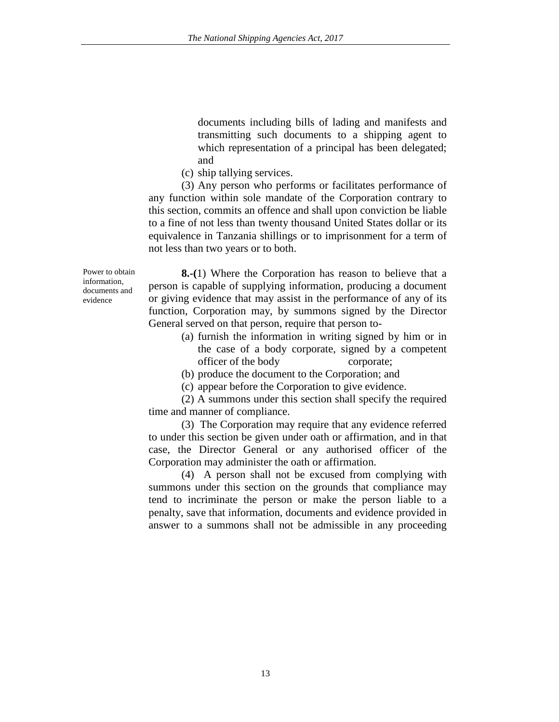documents including bills of lading and manifests and transmitting such documents to a shipping agent to which representation of a principal has been delegated; and

(c) ship tallying services.

(3) Any person who performs or facilitates performance of any function within sole mandate of the Corporation contrary to this section, commits an offence and shall upon conviction be liable to a fine of not less than twenty thousand United States dollar or its equivalence in Tanzania shillings or to imprisonment for a term of not less than two years or to both.

Power to obtain information, documents and evidence

**8.-(**1) Where the Corporation has reason to believe that a person is capable of supplying information, producing a document or giving evidence that may assist in the performance of any of its function, Corporation may, by summons signed by the Director General served on that person, require that person to-

- (a) furnish the information in writing signed by him or in the case of a body corporate, signed by a competent officer of the body corporate;
- (b) produce the document to the Corporation; and
- (c) appear before the Corporation to give evidence.

(2) A summons under this section shall specify the required time and manner of compliance.

(3) The Corporation may require that any evidence referred to under this section be given under oath or affirmation, and in that case, the Director General or any authorised officer of the Corporation may administer the oath or affirmation.

(4) A person shall not be excused from complying with summons under this section on the grounds that compliance may tend to incriminate the person or make the person liable to a penalty, save that information, documents and evidence provided in answer to a summons shall not be admissible in any proceeding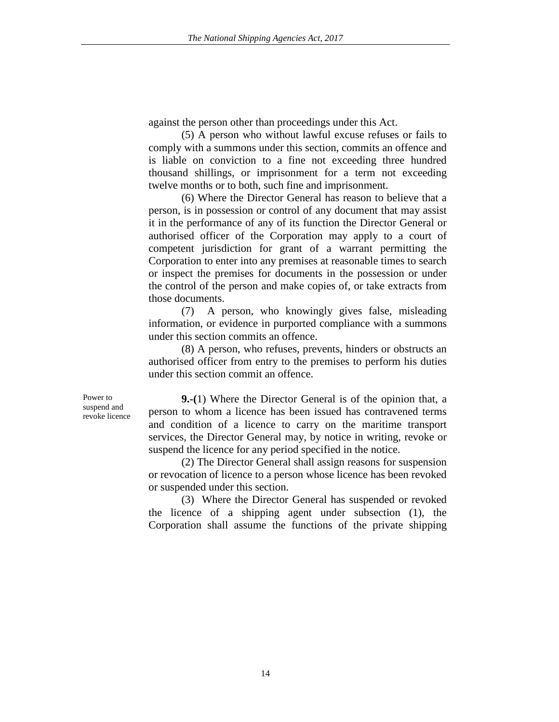against the person other than proceedings under this Act.

(5) A person who without lawful excuse refuses or fails to comply with a summons under this section, commits an offence and is liable on conviction to a fine not exceeding three hundred thousand shillings, or imprisonment for a term not exceeding twelve months or to both, such fine and imprisonment.

(6) Where the Director General has reason to believe that a person, is in possession or control of any document that may assist it in the performance of any of its function the Director General or authorised officer of the Corporation may apply to a court of competent jurisdiction for grant of a warrant permitting the Corporation to enter into any premises at reasonable times to search or inspect the premises for documents in the possession or under the control of the person and make copies of, or take extracts from those documents.

(7) A person, who knowingly gives false, misleading information, or evidence in purported compliance with a summons under this section commits an offence.

(8) A person, who refuses, prevents, hinders or obstructs an authorised officer from entry to the premises to perform his duties under this section commit an offence.

Power to suspend and revoke licence

**9.-(**1) Where the Director General is of the opinion that, a person to whom a licence has been issued has contravened terms and condition of a licence to carry on the maritime transport services, the Director General may, by notice in writing, revoke or suspend the licence for any period specified in the notice.

(2) The Director General shall assign reasons for suspension or revocation of licence to a person whose licence has been revoked or suspended under this section.

(3) Where the Director General has suspended or revoked the licence of a shipping agent under subsection (1), the Corporation shall assume the functions of the private shipping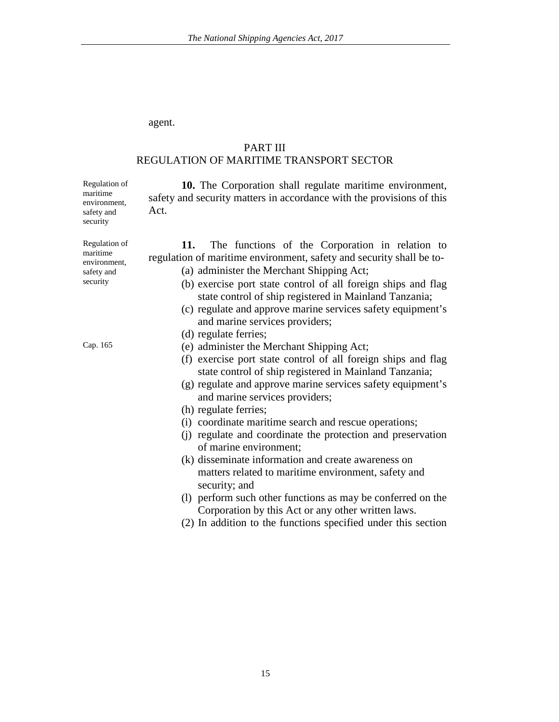#### agent.

# PART III REGULATION OF MARITIME TRANSPORT SECTOR

**10.** The Corporation shall regulate maritime environment, safety and security matters in accordance with the provisions of this Act.

**11.** The functions of the Corporation in relation to regulation of maritime environment, safety and security shall be to-

- (a) administer the Merchant Shipping Act;
- (b) exercise port state control of all foreign ships and flag state control of ship registered in Mainland Tanzania;
- (c) regulate and approve marine services safety equipment's and marine services providers;
- (d) regulate ferries;
- (e) administer the Merchant Shipping Act;
- (f) exercise port state control of all foreign ships and flag state control of ship registered in Mainland Tanzania;
- (g) regulate and approve marine services safety equipment's and marine services providers;
- (h) regulate ferries;
- (i) coordinate maritime search and rescue operations;
- (j) regulate and coordinate the protection and preservation of marine environment;
- (k) disseminate information and create awareness on matters related to maritime environment, safety and security; and
- (l) perform such other functions as may be conferred on the Corporation by this Act or any other written laws.
- (2) In addition to the functions specified under this section

| an. | ٦<br>־י<br>г |
|-----|--------------|
|     |              |

Regulation of maritime environment, safety and security

Regulation of maritime environment, safety and security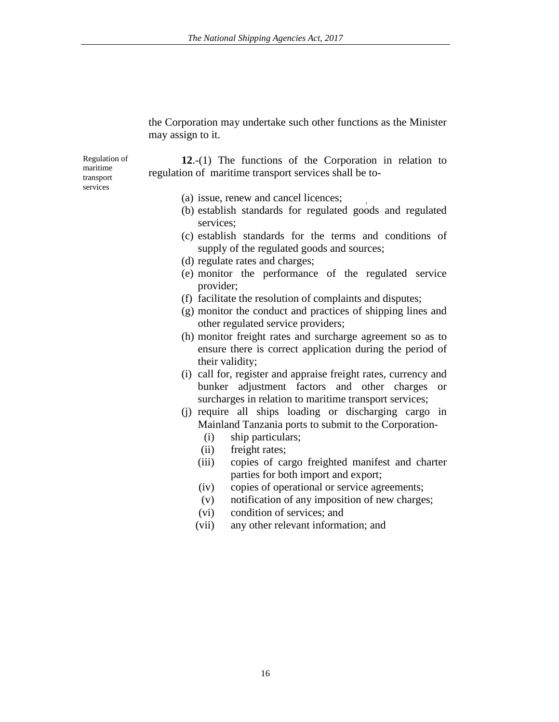the Corporation may undertake such other functions as the Minister may assign to it.

Regulation of maritime transport services

**12**.-(1) The functions of the Corporation in relation to regulation of maritime transport services shall be to-

- (a) issue, renew and cancel licences;
- (b) establish standards for regulated goods and regulated services;
- (c) establish standards for the terms and conditions of supply of the regulated goods and sources;
- (d) regulate rates and charges;
- (e) monitor the performance of the regulated service provider;
- (f) facilitate the resolution of complaints and disputes;
- (g) monitor the conduct and practices of shipping lines and other regulated service providers;
- (h) monitor freight rates and surcharge agreement so as to ensure there is correct application during the period of their validity;
- (i) call for, register and appraise freight rates, currency and bunker adjustment factors and other charges or surcharges in relation to maritime transport services;
- (j) require all ships loading or discharging cargo in Mainland Tanzania ports to submit to the Corporation-
	- (i) ship particulars;
	- (ii) freight rates;
	- (iii) copies of cargo freighted manifest and charter parties for both import and export;
	- (iv) copies of operational or service agreements;
	- (v) notification of any imposition of new charges;
	- (vi) condition of services; and
	- (vii) any other relevant information; and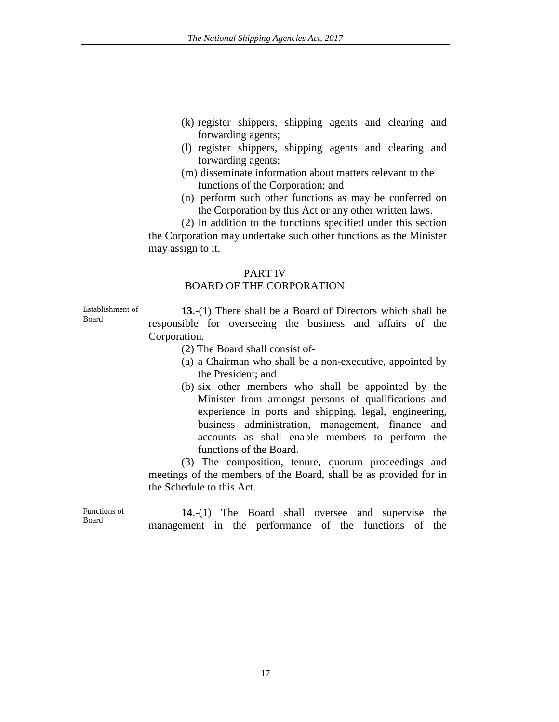- (k) register shippers, shipping agents and clearing and forwarding agents;
- (l) register shippers, shipping agents and clearing and forwarding agents;
- (m) disseminate information about matters relevant to the functions of the Corporation; and
- (n) perform such other functions as may be conferred on the Corporation by this Act or any other written laws.

(2) In addition to the functions specified under this section the Corporation may undertake such other functions as the Minister may assign to it.

# PART IV

# BOARD OF THE CORPORATION

Establishment of Board

**13**.-(1) There shall be a Board of Directors which shall be responsible for overseeing the business and affairs of the Corporation.

- (2) The Board shall consist of-
- (a) a Chairman who shall be a non-executive, appointed by the President; and
- (b) six other members who shall be appointed by the Minister from amongst persons of qualifications and experience in ports and shipping, legal, engineering, business administration, management, finance and accounts as shall enable members to perform the functions of the Board.

(3) The composition, tenure, quorum proceedings and meetings of the members of the Board, shall be as provided for in the Schedule to this Act.

Functions of Board

**14**.-(1) The Board shall oversee and supervise the management in the performance of the functions of the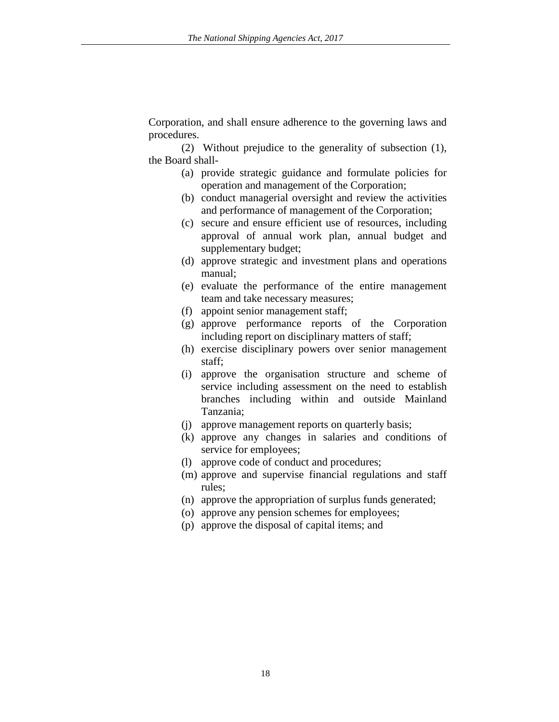Corporation, and shall ensure adherence to the governing laws and procedures.

(2) Without prejudice to the generality of subsection (1), the Board shall-

- (a) provide strategic guidance and formulate policies for operation and management of the Corporation;
- (b) conduct managerial oversight and review the activities and performance of management of the Corporation;
- (c) secure and ensure efficient use of resources, including approval of annual work plan, annual budget and supplementary budget;
- (d) approve strategic and investment plans and operations manual;
- (e) evaluate the performance of the entire management team and take necessary measures;
- (f) appoint senior management staff;
- (g) approve performance reports of the Corporation including report on disciplinary matters of staff;
- (h) exercise disciplinary powers over senior management staff;
- (i) approve the organisation structure and scheme of service including assessment on the need to establish branches including within and outside Mainland Tanzania;
- (j) approve management reports on quarterly basis;
- (k) approve any changes in salaries and conditions of service for employees;
- (l) approve code of conduct and procedures;
- (m) approve and supervise financial regulations and staff rules;
- (n) approve the appropriation of surplus funds generated;
- (o) approve any pension schemes for employees;
- (p) approve the disposal of capital items; and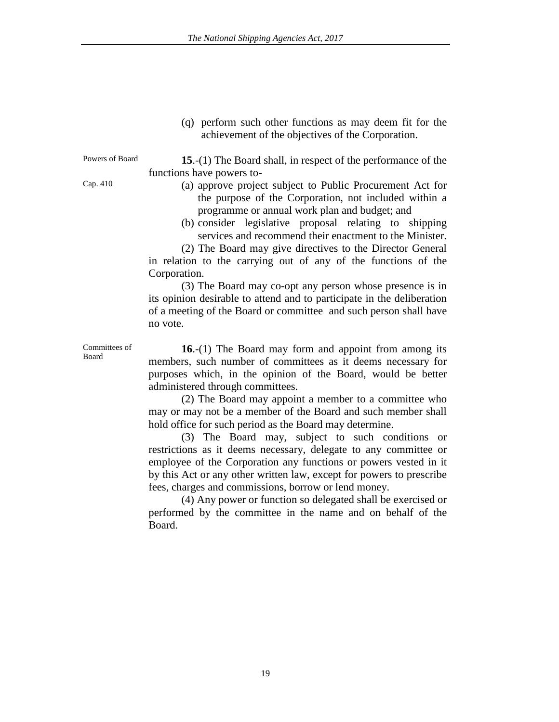(q) perform such other functions as may deem fit for the achievement of the objectives of the Corporation.

Powers of Board **15**.-(1) The Board shall, in respect of the performance of the functions have powers to-

- Cap. 410 (a) approve project subject to Public Procurement Act for the purpose of the Corporation, not included within a programme or annual work plan and budget; and
	- (b) consider legislative proposal relating to shipping services and recommend their enactment to the Minister.

(2) The Board may give directives to the Director General in relation to the carrying out of any of the functions of the Corporation.

(3) The Board may co-opt any person whose presence is in its opinion desirable to attend and to participate in the deliberation of a meeting of the Board or committee and such person shall have no vote.

Committees of Board

**16**.-(1) The Board may form and appoint from among its members, such number of committees as it deems necessary for purposes which, in the opinion of the Board, would be better administered through committees.

(2) The Board may appoint a member to a committee who may or may not be a member of the Board and such member shall hold office for such period as the Board may determine.

(3) The Board may, subject to such conditions or restrictions as it deems necessary, delegate to any committee or employee of the Corporation any functions or powers vested in it by this Act or any other written law, except for powers to prescribe fees, charges and commissions, borrow or lend money.

(4) Any power or function so delegated shall be exercised or performed by the committee in the name and on behalf of the Board.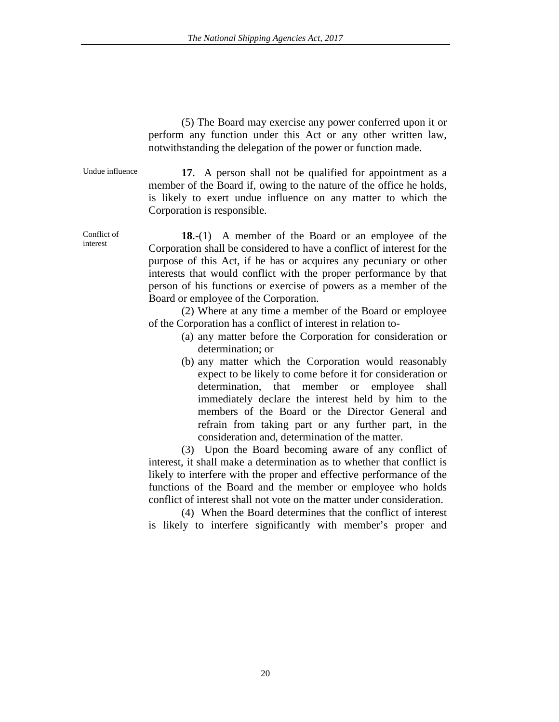(5) The Board may exercise any power conferred upon it or perform any function under this Act or any other written law, notwithstanding the delegation of the power or function made.

Undue influence **17**. A person shall not be qualified for appointment as a member of the Board if, owing to the nature of the office he holds, is likely to exert undue influence on any matter to which the Corporation is responsible.

Conflict of interest

**18**.-(1) A member of the Board or an employee of the Corporation shall be considered to have a conflict of interest for the purpose of this Act, if he has or acquires any pecuniary or other interests that would conflict with the proper performance by that person of his functions or exercise of powers as a member of the Board or employee of the Corporation.

(2) Where at any time a member of the Board or employee of the Corporation has a conflict of interest in relation to-

- (a) any matter before the Corporation for consideration or determination; or
- (b) any matter which the Corporation would reasonably expect to be likely to come before it for consideration or determination, that member or employee shall immediately declare the interest held by him to the members of the Board or the Director General and refrain from taking part or any further part, in the consideration and, determination of the matter.

(3) Upon the Board becoming aware of any conflict of interest, it shall make a determination as to whether that conflict is likely to interfere with the proper and effective performance of the functions of the Board and the member or employee who holds conflict of interest shall not vote on the matter under consideration.

(4) When the Board determines that the conflict of interest is likely to interfere significantly with member's proper and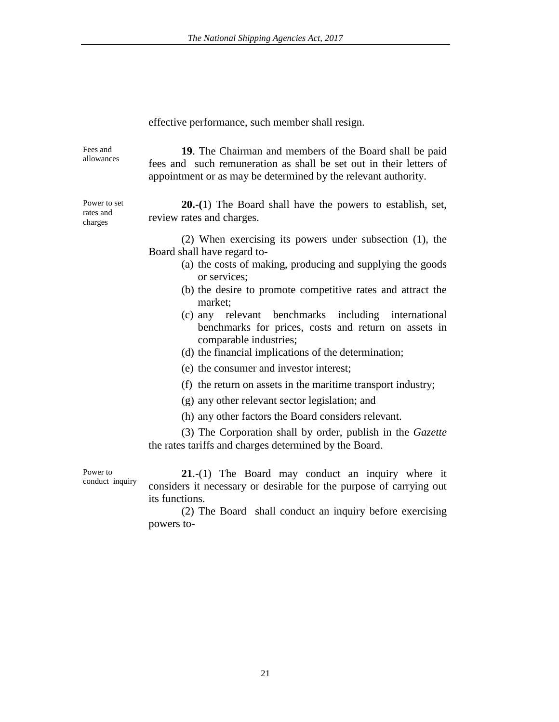#### effective performance, such member shall resign.

Fees and Fees and **19**. The Chairman and members of the Board shall be paid allowances fees and such remuneration as shall be set out in their letters of appointment or as may be determined by the relevant authority. Power to set **20.-(**1) The Board shall have the powers to establish, set, review rates and charges. (2) When exercising its powers under subsection (1), the Board shall have regard to- (a) the costs of making, producing and supplying the goods or services; (b) the desire to promote competitive rates and attract the market;

- (c) any relevant benchmarks including international benchmarks for prices, costs and return on assets in comparable industries;
- (d) the financial implications of the determination;
- (e) the consumer and investor interest;
- (f) the return on assets in the maritime transport industry;
- (g) any other relevant sector legislation; and
- (h) any other factors the Board considers relevant.

(3) The Corporation shall by order, publish in the *Gazette* the rates tariffs and charges determined by the Board.

Power to conduct inquiry

**21**.-(1) The Board may conduct an inquiry where it considers it necessary or desirable for the purpose of carrying out its functions.

(2) The Board shall conduct an inquiry before exercising powers to-

rates and charges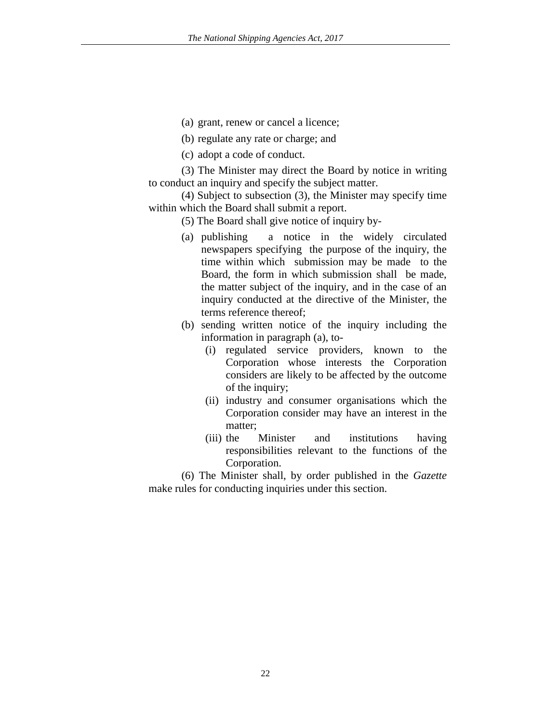- (a) grant, renew or cancel a licence;
- (b) regulate any rate or charge; and
- (c) adopt a code of conduct.

(3) The Minister may direct the Board by notice in writing to conduct an inquiry and specify the subject matter.

(4) Subject to subsection (3), the Minister may specify time within which the Board shall submit a report.

- (5) The Board shall give notice of inquiry by-
- (a) publishing a notice in the widely circulated newspapers specifying the purpose of the inquiry, the time within which submission may be made to the Board, the form in which submission shall be made, the matter subject of the inquiry, and in the case of an inquiry conducted at the directive of the Minister, the terms reference thereof;
- (b) sending written notice of the inquiry including the information in paragraph (a), to-
	- (i) regulated service providers, known to the Corporation whose interests the Corporation considers are likely to be affected by the outcome of the inquiry;
	- (ii) industry and consumer organisations which the Corporation consider may have an interest in the matter;
	- (iii) the Minister and institutions having responsibilities relevant to the functions of the Corporation.

(6) The Minister shall, by order published in the *Gazette* make rules for conducting inquiries under this section.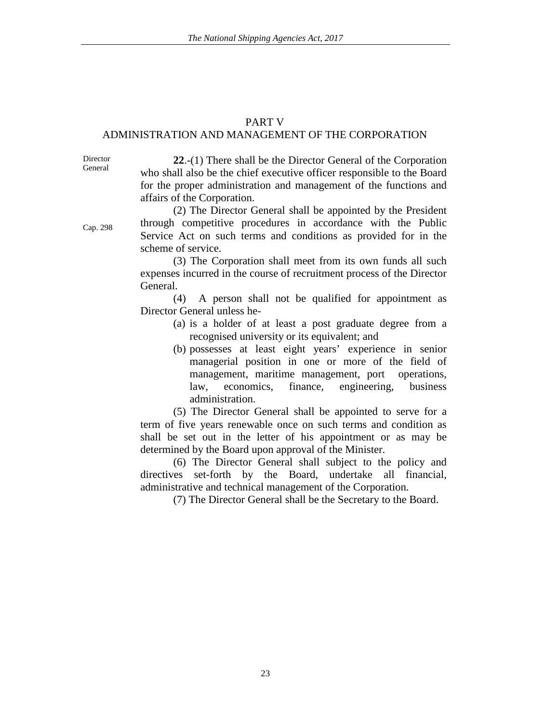#### PART V

## ADMINISTRATION AND MANAGEMENT OF THE CORPORATION

Director General

**22**.-(1) There shall be the Director General of the Corporation who shall also be the chief executive officer responsible to the Board for the proper administration and management of the functions and affairs of the Corporation.

Cap. 298

(2) The Director General shall be appointed by the President through competitive procedures in accordance with the Public Service Act on such terms and conditions as provided for in the scheme of service.

(3) The Corporation shall meet from its own funds all such expenses incurred in the course of recruitment process of the Director General.

(4) A person shall not be qualified for appointment as Director General unless he-

- (a) is a holder of at least a post graduate degree from a recognised university or its equivalent; and
- (b) possesses at least eight years' experience in senior managerial position in one or more of the field of management, maritime management, port operations, law, economics, finance, engineering, business administration.

(5) The Director General shall be appointed to serve for a term of five years renewable once on such terms and condition as shall be set out in the letter of his appointment or as may be determined by the Board upon approval of the Minister.

(6) The Director General shall subject to the policy and directives set-forth by the Board, undertake all financial, administrative and technical management of the Corporation.

(7) The Director General shall be the Secretary to the Board.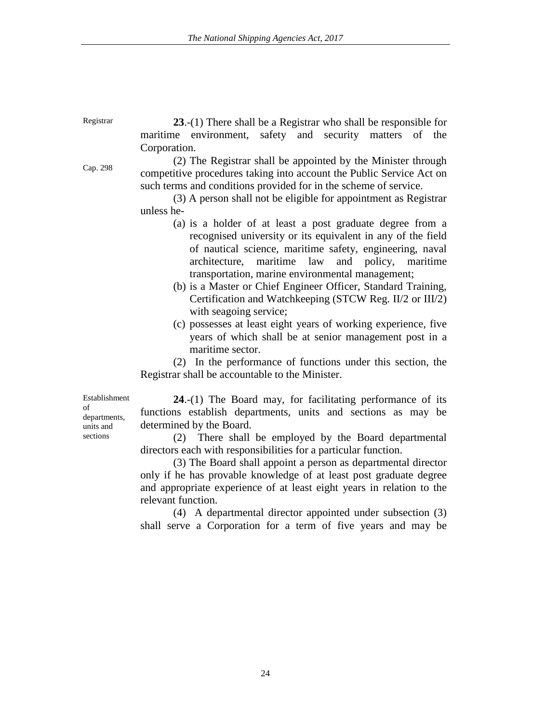Cap. 298 **23**.-(1) There shall be a Registrar who shall be responsible for maritime environment, safety and security matters of the Corporation. (2) The Registrar shall be appointed by the Minister through competitive procedures taking into account the Public Service Act on such terms and conditions provided for in the scheme of service. (3) A person shall not be eligible for appointment as Registrar unless he- (a) is a holder of at least a post graduate degree from a

- recognised university or its equivalent in any of the field of nautical science, maritime safety, engineering, naval architecture, maritime law and policy, maritime transportation, marine environmental management;
- (b) is a Master or Chief Engineer Officer, Standard Training, Certification and Watchkeeping (STCW Reg. II/2 or III/2) with seagoing service;
- (c) possesses at least eight years of working experience, five years of which shall be at senior management post in a maritime sector.

(2) In the performance of functions under this section, the Registrar shall be accountable to the Minister.

Establishment of departments, units and sections

**24**.-(1) The Board may, for facilitating performance of its functions establish departments, units and sections as may be determined by the Board.

(2) There shall be employed by the Board departmental directors each with responsibilities for a particular function.

(3) The Board shall appoint a person as departmental director only if he has provable knowledge of at least post graduate degree and appropriate experience of at least eight years in relation to the relevant function.

(4) A departmental director appointed under subsection (3) shall serve a Corporation for a term of five years and may be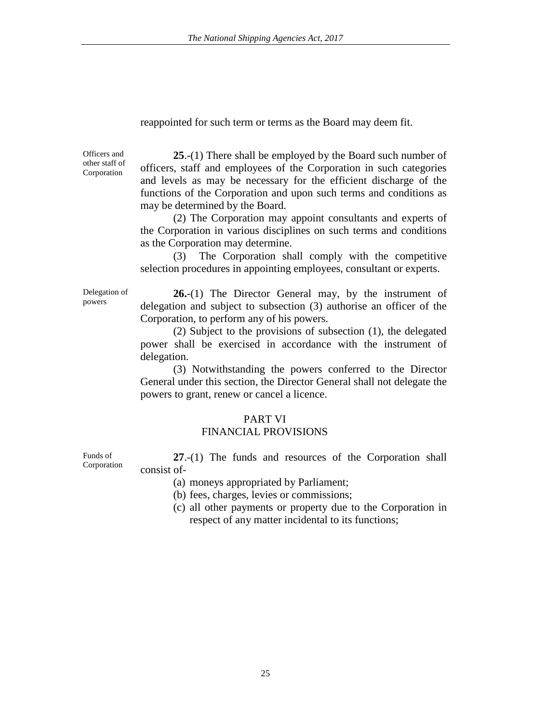reappointed for such term or terms as the Board may deem fit.

Officers and other staff of Corporation

**25**.-(1) There shall be employed by the Board such number of officers, staff and employees of the Corporation in such categories and levels as may be necessary for the efficient discharge of the functions of the Corporation and upon such terms and conditions as may be determined by the Board.

(2) The Corporation may appoint consultants and experts of the Corporation in various disciplines on such terms and conditions as the Corporation may determine.

(3) The Corporation shall comply with the competitive selection procedures in appointing employees, consultant or experts.

Delegation of powers

**26.**-(1) The Director General may, by the instrument of delegation and subject to subsection (3) authorise an officer of the Corporation, to perform any of his powers.

(2) Subject to the provisions of subsection (1), the delegated power shall be exercised in accordance with the instrument of delegation.

(3) Notwithstanding the powers conferred to the Director General under this section, the Director General shall not delegate the powers to grant, renew or cancel a licence.

### PART VI

# FINANCIAL PROVISIONS

**27**.-(1) The funds and resources of the Corporation shall consist of-

(a) moneys appropriated by Parliament;

(b) fees, charges, levies or commissions;

(c) all other payments or property due to the Corporation in respect of any matter incidental to its functions;

Funds of Corporation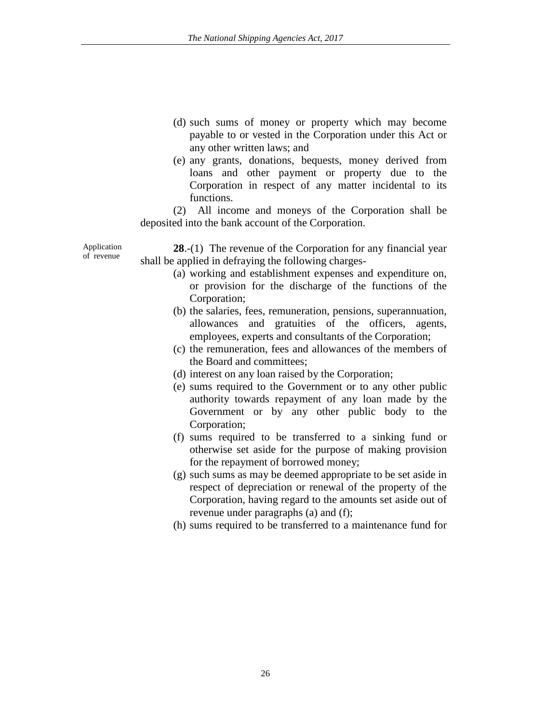- (d) such sums of money or property which may become payable to or vested in the Corporation under this Act or any other written laws; and
- (e) any grants, donations, bequests, money derived from loans and other payment or property due to the Corporation in respect of any matter incidental to its functions.

(2) All income and moneys of the Corporation shall be deposited into the bank account of the Corporation.

Application **28**.-(1) The revenue of the Corporation for any financial year of revenue shall be applied in defraying the following charges-

Application

- (a) working and establishment expenses and expenditure on, or provision for the discharge of the functions of the Corporation;
- (b) the salaries, fees, remuneration, pensions, superannuation, allowances and gratuities of the officers, agents, employees, experts and consultants of the Corporation;
- (c) the remuneration, fees and allowances of the members of the Board and committees;
- (d) interest on any loan raised by the Corporation;
- (e) sums required to the Government or to any other public authority towards repayment of any loan made by the Government or by any other public body to the Corporation;
- (f) sums required to be transferred to a sinking fund or otherwise set aside for the purpose of making provision for the repayment of borrowed money;
- (g) such sums as may be deemed appropriate to be set aside in respect of depreciation or renewal of the property of the Corporation, having regard to the amounts set aside out of revenue under paragraphs (a) and (f);
- (h) sums required to be transferred to a maintenance fund for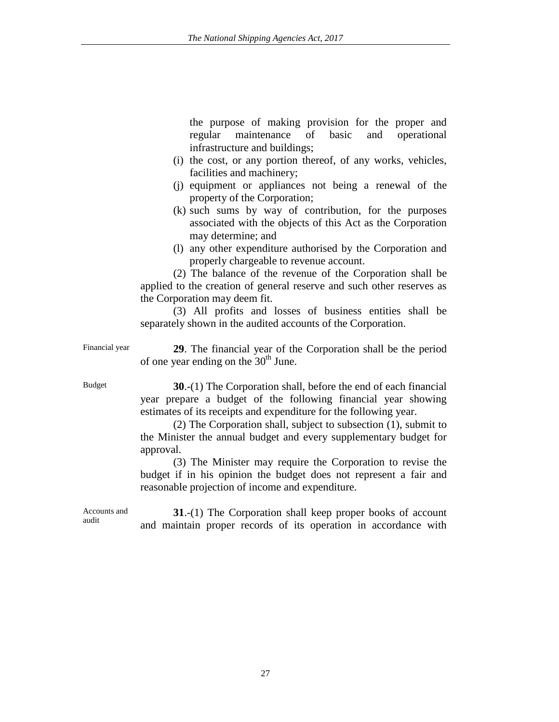the purpose of making provision for the proper and regular maintenance of basic and operational infrastructure and buildings;

- (i) the cost, or any portion thereof, of any works, vehicles, facilities and machinery;
- (j) equipment or appliances not being a renewal of the property of the Corporation;
- (k) such sums by way of contribution, for the purposes associated with the objects of this Act as the Corporation may determine; and
- (l) any other expenditure authorised by the Corporation and properly chargeable to revenue account.

(2) The balance of the revenue of the Corporation shall be applied to the creation of general reserve and such other reserves as the Corporation may deem fit.

(3) All profits and losses of business entities shall be separately shown in the audited accounts of the Corporation.

Financial year **29**. The financial year of the Corporation shall be the period of one year ending on the  $30<sup>th</sup>$  June.

Budget **30**.-(1) The Corporation shall, before the end of each financial year prepare a budget of the following financial year showing estimates of its receipts and expenditure for the following year.

> (2) The Corporation shall, subject to subsection (1), submit to the Minister the annual budget and every supplementary budget for approval.

> (3) The Minister may require the Corporation to revise the budget if in his opinion the budget does not represent a fair and reasonable projection of income and expenditure.

Accounts and audit **31.**-(1) The Corporation shall keep proper books of account and maintain proper records of its operation in accordance with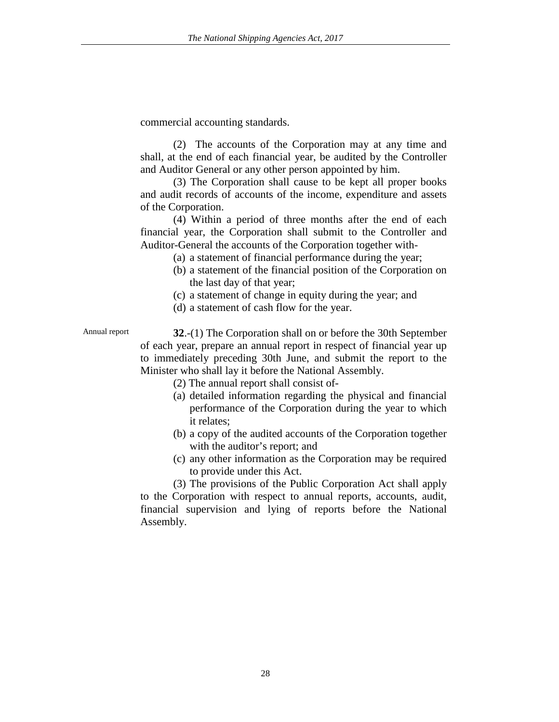commercial accounting standards.

(2) The accounts of the Corporation may at any time and shall, at the end of each financial year, be audited by the Controller and Auditor General or any other person appointed by him.

(3) The Corporation shall cause to be kept all proper books and audit records of accounts of the income, expenditure and assets of the Corporation.

(4) Within a period of three months after the end of each financial year, the Corporation shall submit to the Controller and Auditor-General the accounts of the Corporation together with-

- (a) a statement of financial performance during the year;
- (b) a statement of the financial position of the Corporation on the last day of that year;
- (c) a statement of change in equity during the year; and
- (d) a statement of cash flow for the year.

Annual report **32.-(1)** The Corporation shall on or before the 30th September of each year, prepare an annual report in respect of financial year up to immediately preceding 30th June, and submit the report to the Minister who shall lay it before the National Assembly.

(2) The annual report shall consist of-

- (a) detailed information regarding the physical and financial performance of the Corporation during the year to which it relates;
- (b) a copy of the audited accounts of the Corporation together with the auditor's report; and
- (c) any other information as the Corporation may be required to provide under this Act.

(3) The provisions of the Public Corporation Act shall apply to the Corporation with respect to annual reports, accounts, audit, financial supervision and lying of reports before the National Assembly.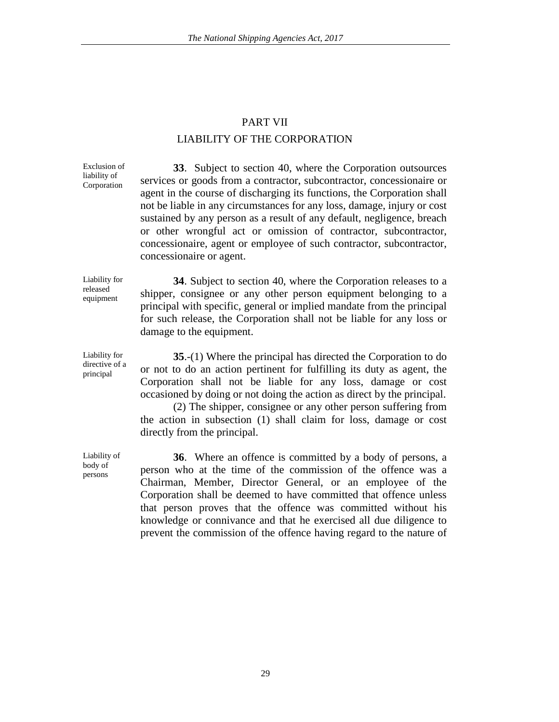# PART VII LIABILITY OF THE CORPORATION

Exclusion of liability of Corporation

**33**. Subject to section 40, where the Corporation outsources services or goods from a contractor, subcontractor, concessionaire or agent in the course of discharging its functions, the Corporation shall not be liable in any circumstances for any loss, damage, injury or cost sustained by any person as a result of any default, negligence, breach or other wrongful act or omission of contractor, subcontractor, concessionaire, agent or employee of such contractor, subcontractor, concessionaire or agent.

Liability for released equipment

Liability for directive of a principal

**34**. Subject to section 40, where the Corporation releases to a shipper, consignee or any other person equipment belonging to a principal with specific, general or implied mandate from the principal for such release, the Corporation shall not be liable for any loss or damage to the equipment.

**35**.-(1) Where the principal has directed the Corporation to do or not to do an action pertinent for fulfilling its duty as agent, the Corporation shall not be liable for any loss, damage or cost occasioned by doing or not doing the action as direct by the principal.

(2) The shipper, consignee or any other person suffering from the action in subsection (1) shall claim for loss, damage or cost directly from the principal.

Liability of body of persons

**36**. Where an offence is committed by a body of persons, a person who at the time of the commission of the offence was a Chairman, Member, Director General, or an employee of the Corporation shall be deemed to have committed that offence unless that person proves that the offence was committed without his knowledge or connivance and that he exercised all due diligence to prevent the commission of the offence having regard to the nature of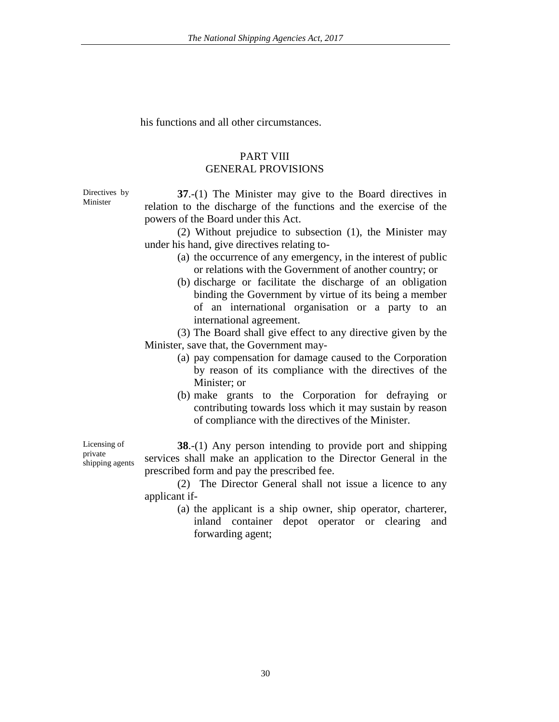his functions and all other circumstances.

### PART VIII GENERAL PROVISIONS

Directives by Minister

**37**.-(1) The Minister may give to the Board directives in relation to the discharge of the functions and the exercise of the powers of the Board under this Act.

(2) Without prejudice to subsection (1), the Minister may under his hand, give directives relating to-

- (a) the occurrence of any emergency, in the interest of public or relations with the Government of another country; or
- (b) discharge or facilitate the discharge of an obligation binding the Government by virtue of its being a member of an international organisation or a party to an international agreement.

(3) The Board shall give effect to any directive given by the Minister, save that, the Government may-

- (a) pay compensation for damage caused to the Corporation by reason of its compliance with the directives of the Minister; or
- (b) make grants to the Corporation for defraying or contributing towards loss which it may sustain by reason of compliance with the directives of the Minister.

**38**.-(1) Any person intending to provide port and shipping services shall make an application to the Director General in the prescribed form and pay the prescribed fee.

(2) The Director General shall not issue a licence to any applicant if-

> (a) the applicant is a ship owner, ship operator, charterer, inland container depot operator or clearing and forwarding agent;

Licensing of private shipping agents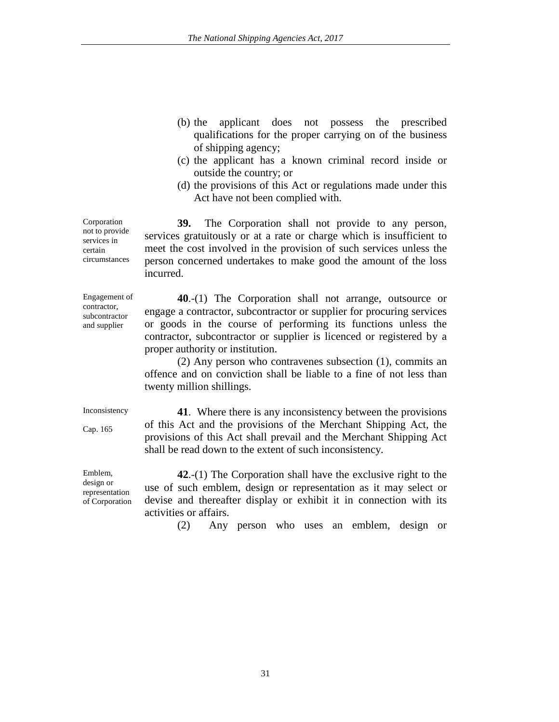- (b) the applicant does not possess the prescribed qualifications for the proper carrying on of the business of shipping agency;
- (c) the applicant has a known criminal record inside or outside the country; or
- (d) the provisions of this Act or regulations made under this Act have not been complied with.

**39.** The Corporation shall not provide to any person, services gratuitously or at a rate or charge which is insufficient to meet the cost involved in the provision of such services unless the person concerned undertakes to make good the amount of the loss incurred.

**40**.-(1) The Corporation shall not arrange, outsource or engage a contractor, subcontractor or supplier for procuring services or goods in the course of performing its functions unless the contractor, subcontractor or supplier is licenced or registered by a proper authority or institution.

(2) Any person who contravenes subsection (1), commits an offence and on conviction shall be liable to a fine of not less than twenty million shillings.

Inconsistency

Cap. 165

**41**. Where there is any inconsistency between the provisions of this Act and the provisions of the Merchant Shipping Act, the provisions of this Act shall prevail and the Merchant Shipping Act shall be read down to the extent of such inconsistency.

**42**.-(1) The Corporation shall have the exclusive right to the use of such emblem, design or representation as it may select or devise and thereafter display or exhibit it in connection with its activities or affairs.

(2) Any person who uses an emblem, design or

not to provide services in certain circumstances

Engagement of contractor, subcontractor and supplier

Corporation

Emblem, design or representation of Corporation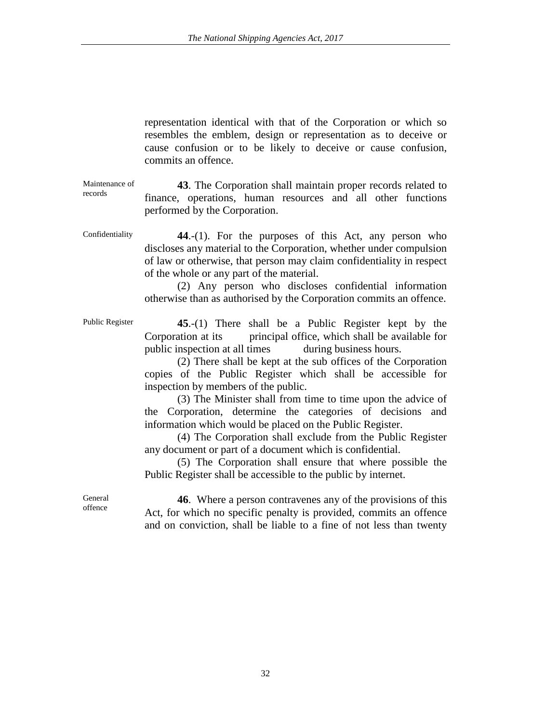representation identical with that of the Corporation or which so resembles the emblem, design or representation as to deceive or cause confusion or to be likely to deceive or cause confusion, commits an offence.

Maintenance of records **43**. The Corporation shall maintain proper records related to finance, operations, human resources and all other functions performed by the Corporation.

Confidentiality **44**.-(1). For the purposes of this Act, any person who discloses any material to the Corporation, whether under compulsion of law or otherwise, that person may claim confidentiality in respect of the whole or any part of the material.

> (2) Any person who discloses confidential information otherwise than as authorised by the Corporation commits an offence.

Public Register **45**.-(1) There shall be a Public Register kept by the Corporation at its principal office, which shall be available for public inspection at all times during business hours.

(2) There shall be kept at the sub offices of the Corporation copies of the Public Register which shall be accessible for inspection by members of the public.

(3) The Minister shall from time to time upon the advice of the Corporation, determine the categories of decisions and information which would be placed on the Public Register.

(4) The Corporation shall exclude from the Public Register any document or part of a document which is confidential.

(5) The Corporation shall ensure that where possible the Public Register shall be accessible to the public by internet.

General offence

**46**. Where a person contravenes any of the provisions of this Act, for which no specific penalty is provided, commits an offence and on conviction, shall be liable to a fine of not less than twenty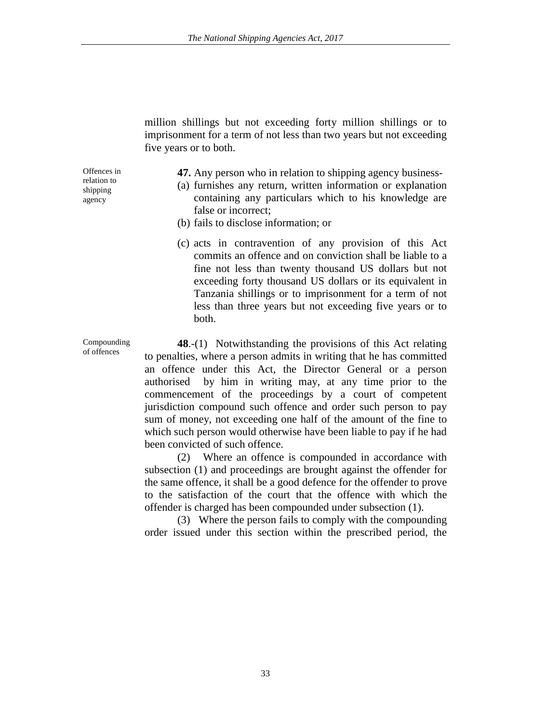million shillings but not exceeding forty million shillings or to imprisonment for a term of not less than two years but not exceeding five years or to both.

Offences in relation to shipping agency

- **47.** Any person who in relation to shipping agency business-
- (a) furnishes any return, written information or explanation containing any particulars which to his knowledge are false or incorrect;
- (b) fails to disclose information; or
- (c) acts in contravention of any provision of this Act commits an offence and on conviction shall be liable to a fine not less than twenty thousand US dollars but not exceeding forty thousand US dollars or its equivalent in Tanzania shillings or to imprisonment for a term of not less than three years but not exceeding five years or to both.

**48**.-(1) Notwithstanding the provisions of this Act relating to penalties, where a person admits in writing that he has committed an offence under this Act, the Director General or a person authorised by him in writing may, at any time prior to the commencement of the proceedings by a court of competent jurisdiction compound such offence and order such person to pay sum of money, not exceeding one half of the amount of the fine to which such person would otherwise have been liable to pay if he had been convicted of such offence.

(2) Where an offence is compounded in accordance with subsection (1) and proceedings are brought against the offender for the same offence, it shall be a good defence for the offender to prove to the satisfaction of the court that the offence with which the offender is charged has been compounded under subsection (1).

(3) Where the person fails to comply with the compounding order issued under this section within the prescribed period, the

Compounding of offences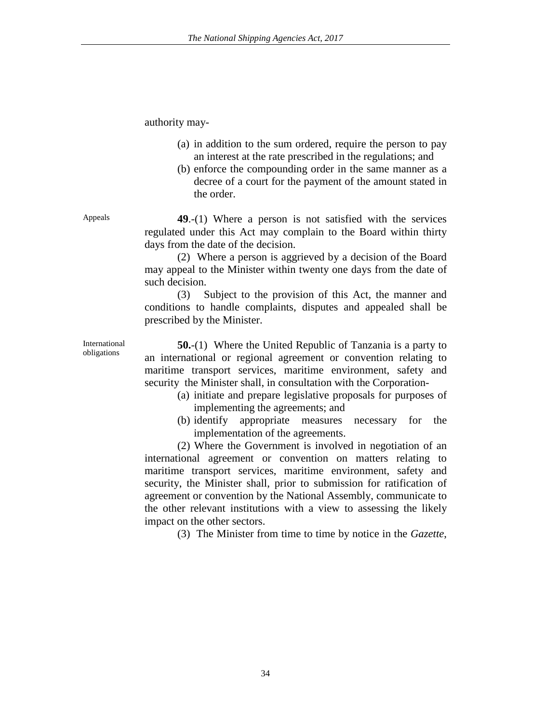authority may-

- (a) in addition to the sum ordered, require the person to pay an interest at the rate prescribed in the regulations; and
- (b) enforce the compounding order in the same manner as a decree of a court for the payment of the amount stated in the order.

Appeals **49.-(1)** Where a person is not satisfied with the services regulated under this Act may complain to the Board within thirty days from the date of the decision.

> (2) Where a person is aggrieved by a decision of the Board may appeal to the Minister within twenty one days from the date of such decision.

> (3) Subject to the provision of this Act, the manner and conditions to handle complaints, disputes and appealed shall be prescribed by the Minister.

> **50.**-(1) Where the United Republic of Tanzania is a party to an international or regional agreement or convention relating to maritime transport services, maritime environment, safety and security the Minister shall, in consultation with the Corporation-

- (a) initiate and prepare legislative proposals for purposes of implementing the agreements; and
- (b) identify appropriate measures necessary for the implementation of the agreements.

(2) Where the Government is involved in negotiation of an international agreement or convention on matters relating to maritime transport services, maritime environment, safety and security, the Minister shall, prior to submission for ratification of agreement or convention by the National Assembly, communicate to the other relevant institutions with a view to assessing the likely impact on the other sectors.

(3) The Minister from time to time by notice in the *Gazette*,

International obligations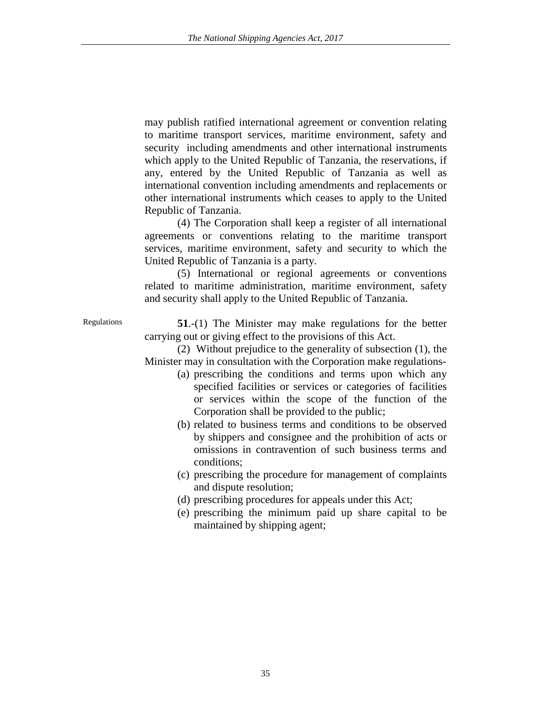may publish ratified international agreement or convention relating to maritime transport services, maritime environment, safety and security including amendments and other international instruments which apply to the United Republic of Tanzania, the reservations, if any, entered by the United Republic of Tanzania as well as international convention including amendments and replacements or other international instruments which ceases to apply to the United Republic of Tanzania.

(4) The Corporation shall keep a register of all international agreements or conventions relating to the maritime transport services, maritime environment, safety and security to which the United Republic of Tanzania is a party.

(5) International or regional agreements or conventions related to maritime administration, maritime environment, safety and security shall apply to the United Republic of Tanzania.

Regulations **51**.-(1) The Minister may make regulations for the better carrying out or giving effect to the provisions of this Act.

> (2) Without prejudice to the generality of subsection (1), the Minister may in consultation with the Corporation make regulations-

- (a) prescribing the conditions and terms upon which any specified facilities or services or categories of facilities or services within the scope of the function of the Corporation shall be provided to the public;
- (b) related to business terms and conditions to be observed by shippers and consignee and the prohibition of acts or omissions in contravention of such business terms and conditions;
- (c) prescribing the procedure for management of complaints and dispute resolution;
- (d) prescribing procedures for appeals under this Act;
- (e) prescribing the minimum paid up share capital to be maintained by shipping agent;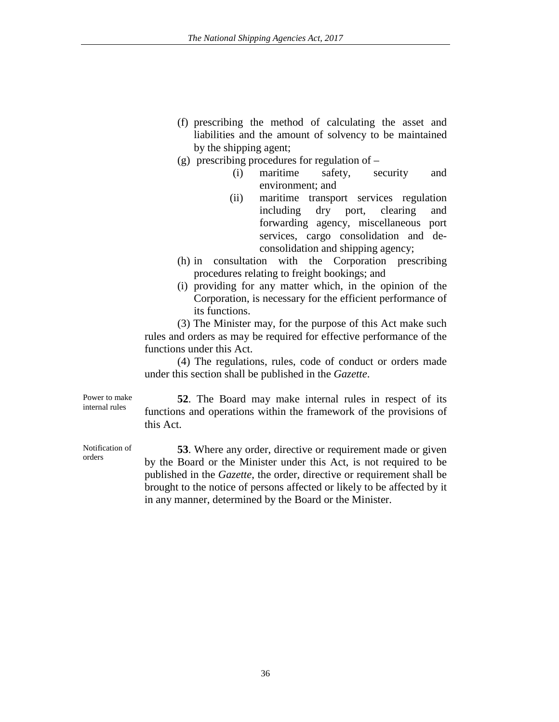- (f) prescribing the method of calculating the asset and liabilities and the amount of solvency to be maintained by the shipping agent;
- (g) prescribing procedures for regulation of
	- (i) maritime safety, security and environment; and
	- (ii) maritime transport services regulation including dry port, clearing and forwarding agency, miscellaneous port services, cargo consolidation and deconsolidation and shipping agency;
- (h) in consultation with the Corporation prescribing procedures relating to freight bookings; and
- (i) providing for any matter which, in the opinion of the Corporation, is necessary for the efficient performance of its functions.

(3) The Minister may, for the purpose of this Act make such rules and orders as may be required for effective performance of the functions under this Act.

(4) The regulations, rules, code of conduct or orders made under this section shall be published in the *Gazette*.

Power to make internal rules

**52**. The Board may make internal rules in respect of its functions and operations within the framework of the provisions of this Act.

Notification of orders

**53**. Where any order, directive or requirement made or given by the Board or the Minister under this Act, is not required to be published in the *Gazette*, the order, directive or requirement shall be brought to the notice of persons affected or likely to be affected by it in any manner, determined by the Board or the Minister.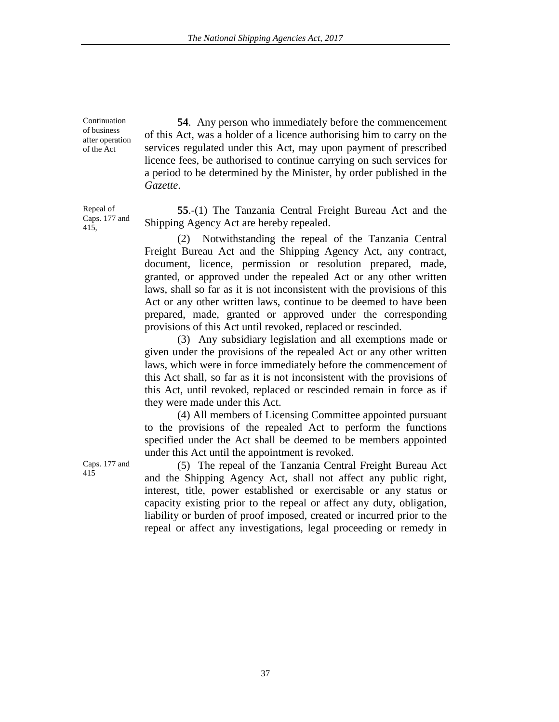Continuation of business after operation of the Act

**54**. Any person who immediately before the commencement of this Act, was a holder of a licence authorising him to carry on the services regulated under this Act, may upon payment of prescribed licence fees, be authorised to continue carrying on such services for a period to be determined by the Minister, by order published in the *Gazette*.

**55**.-(1) The Tanzania Central Freight Bureau Act and the Shipping Agency Act are hereby repealed.

(2) Notwithstanding the repeal of the Tanzania Central Freight Bureau Act and the Shipping Agency Act, any contract, document, licence, permission or resolution prepared, made, granted, or approved under the repealed Act or any other written laws, shall so far as it is not inconsistent with the provisions of this Act or any other written laws, continue to be deemed to have been prepared, made, granted or approved under the corresponding provisions of this Act until revoked, replaced or rescinded.

(3) Any subsidiary legislation and all exemptions made or given under the provisions of the repealed Act or any other written laws, which were in force immediately before the commencement of this Act shall, so far as it is not inconsistent with the provisions of this Act, until revoked, replaced or rescinded remain in force as if they were made under this Act.

(4) All members of Licensing Committee appointed pursuant to the provisions of the repealed Act to perform the functions specified under the Act shall be deemed to be members appointed under this Act until the appointment is revoked.

<sup>415</sup> (5) The repeal of the Tanzania Central Freight Bureau Act and the Shipping Agency Act, shall not affect any public right, interest, title, power established or exercisable or any status or capacity existing prior to the repeal or affect any duty, obligation, liability or burden of proof imposed, created or incurred prior to the repeal or affect any investigations, legal proceeding or remedy in

415,

Repeal of Caps. 177 and

Caps. 177 and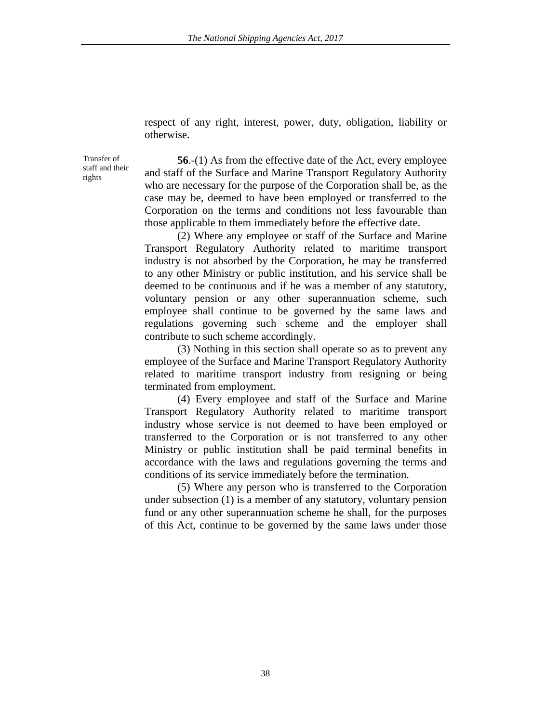respect of any right, interest, power, duty, obligation, liability or otherwise.

Transfer of staff and their rights

**56**.-(1) As from the effective date of the Act, every employee and staff of the Surface and Marine Transport Regulatory Authority who are necessary for the purpose of the Corporation shall be, as the case may be, deemed to have been employed or transferred to the Corporation on the terms and conditions not less favourable than those applicable to them immediately before the effective date.

(2) Where any employee or staff of the Surface and Marine Transport Regulatory Authority related to maritime transport industry is not absorbed by the Corporation, he may be transferred to any other Ministry or public institution, and his service shall be deemed to be continuous and if he was a member of any statutory, voluntary pension or any other superannuation scheme, such employee shall continue to be governed by the same laws and regulations governing such scheme and the employer shall contribute to such scheme accordingly.

(3) Nothing in this section shall operate so as to prevent any employee of the Surface and Marine Transport Regulatory Authority related to maritime transport industry from resigning or being terminated from employment.

(4) Every employee and staff of the Surface and Marine Transport Regulatory Authority related to maritime transport industry whose service is not deemed to have been employed or transferred to the Corporation or is not transferred to any other Ministry or public institution shall be paid terminal benefits in accordance with the laws and regulations governing the terms and conditions of its service immediately before the termination.

(5) Where any person who is transferred to the Corporation under subsection (1) is a member of any statutory, voluntary pension fund or any other superannuation scheme he shall, for the purposes of this Act, continue to be governed by the same laws under those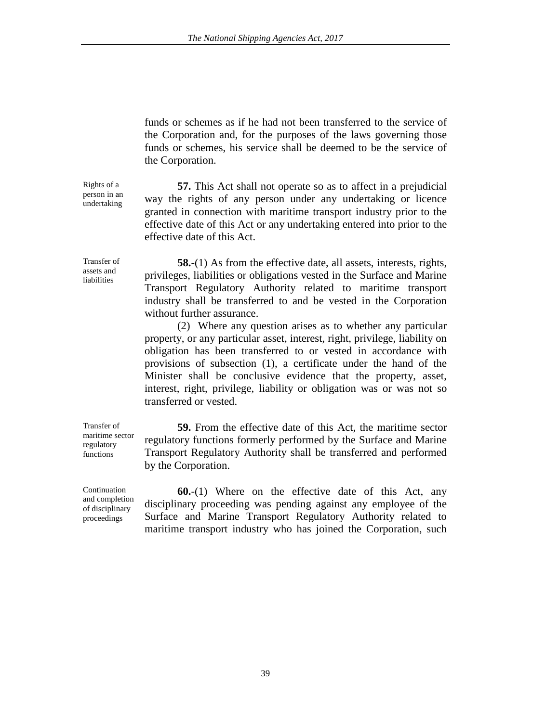funds or schemes as if he had not been transferred to the service of the Corporation and, for the purposes of the laws governing those funds or schemes, his service shall be deemed to be the service of the Corporation.

**57.** This Act shall not operate so as to affect in a prejudicial way the rights of any person under any undertaking or licence granted in connection with maritime transport industry prior to the effective date of this Act or any undertaking entered into prior to the effective date of this Act.

**58.**-(1) As from the effective date, all assets, interests, rights, privileges, liabilities or obligations vested in the Surface and Marine Transport Regulatory Authority related to maritime transport industry shall be transferred to and be vested in the Corporation without further assurance.

(2) Where any question arises as to whether any particular property, or any particular asset, interest, right, privilege, liability on obligation has been transferred to or vested in accordance with provisions of subsection (1), a certificate under the hand of the Minister shall be conclusive evidence that the property, asset, interest, right, privilege, liability or obligation was or was not so transferred or vested.

**59.** From the effective date of this Act, the maritime sector regulatory functions formerly performed by the Surface and Marine Transport Regulatory Authority shall be transferred and performed by the Corporation.

**60.**-(1) Where on the effective date of this Act, any disciplinary proceeding was pending against any employee of the Surface and Marine Transport Regulatory Authority related to maritime transport industry who has joined the Corporation, such

Rights of a person in an undertaking

Transfer of assets and liabilities

Transfer of maritime sector regulatory functions

**Continuation** and completion of disciplinary proceedings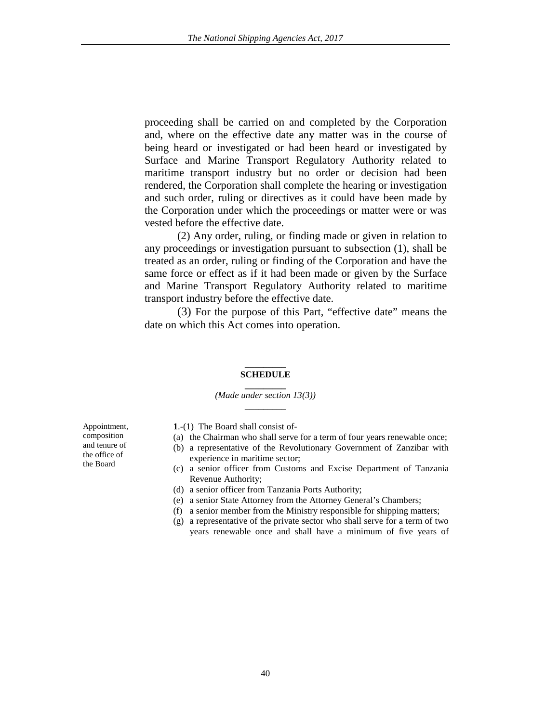proceeding shall be carried on and completed by the Corporation and, where on the effective date any matter was in the course of being heard or investigated or had been heard or investigated by Surface and Marine Transport Regulatory Authority related to maritime transport industry but no order or decision had been rendered, the Corporation shall complete the hearing or investigation and such order, ruling or directives as it could have been made by the Corporation under which the proceedings or matter were or was vested before the effective date.

(2) Any order, ruling, or finding made or given in relation to any proceedings or investigation pursuant to subsection (1), shall be treated as an order, ruling or finding of the Corporation and have the same force or effect as if it had been made or given by the Surface and Marine Transport Regulatory Authority related to maritime transport industry before the effective date.

(3) For the purpose of this Part, "effective date" means the date on which this Act comes into operation.

#### **\_\_\_\_\_\_\_\_\_ SCHEDULE**

**\_\_\_\_\_\_\_\_\_** *(Made under section 13(3))*  $\overline{\phantom{a}}$ 

**1**.-(1) The Board shall consist of- (a) the Chairman who shall serve for a term of four years renewable once;

- (b) a representative of the Revolutionary Government of Zanzibar with experience in maritime sector;
- (c) a senior officer from Customs and Excise Department of Tanzania Revenue Authority;
- (d) a senior officer from Tanzania Ports Authority;
- (e) a senior State Attorney from the Attorney General's Chambers;
- (f) a senior member from the Ministry responsible for shipping matters;
- (g) a representative of the private sector who shall serve for a term of two years renewable once and shall have a minimum of five years of

Appointment, composition and tenure of the office of the Board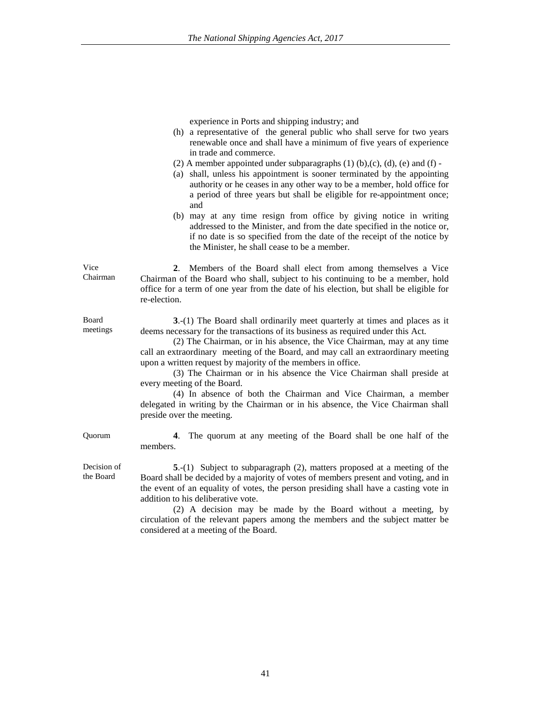experience in Ports and shipping industry; and

- (h) a representative of the general public who shall serve for two years renewable once and shall have a minimum of five years of experience in trade and commerce.
- (2) A member appointed under subparagraphs  $(1)$   $(b)$ , $(c)$ ,  $(d)$ ,  $(e)$  and  $(f)$  -
- (a) shall, unless his appointment is sooner terminated by the appointing authority or he ceases in any other way to be a member, hold office for a period of three years but shall be eligible for re-appointment once; and
- (b) may at any time resign from office by giving notice in writing addressed to the Minister, and from the date specified in the notice or, if no date is so specified from the date of the receipt of the notice by the Minister, he shall cease to be a member.

Vice Chairman **2**. Members of the Board shall elect from among themselves a Vice Chairman of the Board who shall, subject to his continuing to be a member, hold office for a term of one year from the date of his election, but shall be eligible for re-election.

> **3**.-(1) The Board shall ordinarily meet quarterly at times and places as it deems necessary for the transactions of its business as required under this Act.

(2) The Chairman, or in his absence, the Vice Chairman, may at any time call an extraordinary meeting of the Board, and may call an extraordinary meeting upon a written request by majority of the members in office.

(3) The Chairman or in his absence the Vice Chairman shall preside at every meeting of the Board.

(4) In absence of both the Chairman and Vice Chairman, a member delegated in writing by the Chairman or in his absence, the Vice Chairman shall preside over the meeting.

Quorum **4**. The quorum at any meeting of the Board shall be one half of the members.

> **5**.-(1) Subject to subparagraph (2), matters proposed at a meeting of the Board shall be decided by a majority of votes of members present and voting, and in the event of an equality of votes, the person presiding shall have a casting vote in addition to his deliberative vote.

> (2) A decision may be made by the Board without a meeting, by circulation of the relevant papers among the members and the subject matter be considered at a meeting of the Board.

Board meetings

Decision of the Board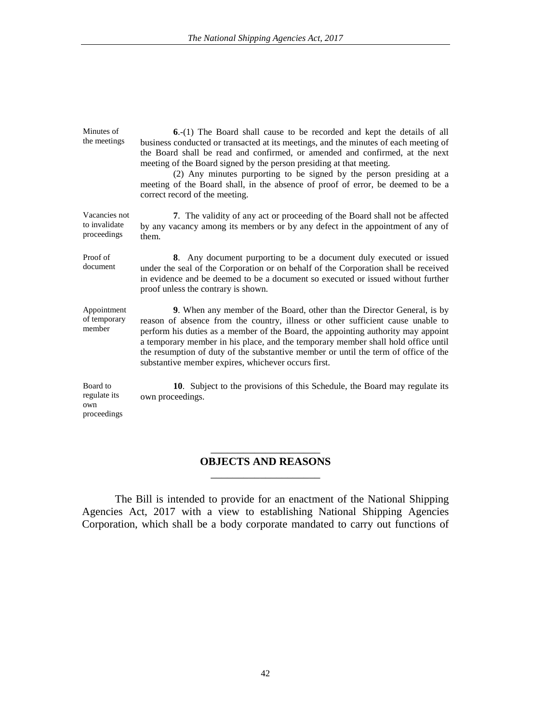| Minutes of<br>the meetings                     | 6.-(1) The Board shall cause to be recorded and kept the details of all<br>business conducted or transacted at its meetings, and the minutes of each meeting of<br>the Board shall be read and confirmed, or amended and confirmed, at the next<br>meeting of the Board signed by the person presiding at that meeting.<br>(2) Any minutes purporting to be signed by the person presiding at a<br>meeting of the Board shall, in the absence of proof of error, be deemed to be a<br>correct record of the meeting. |
|------------------------------------------------|----------------------------------------------------------------------------------------------------------------------------------------------------------------------------------------------------------------------------------------------------------------------------------------------------------------------------------------------------------------------------------------------------------------------------------------------------------------------------------------------------------------------|
| Vacancies not<br>to invalidate<br>proceedings  | 7. The validity of any act or proceeding of the Board shall not be affected<br>by any vacancy among its members or by any defect in the appointment of any of<br>them.                                                                                                                                                                                                                                                                                                                                               |
| Proof of<br>document                           | 8. Any document purporting to be a document duly executed or issued<br>under the seal of the Corporation or on behalf of the Corporation shall be received<br>in evidence and be deemed to be a document so executed or issued without further<br>proof unless the contrary is shown.                                                                                                                                                                                                                                |
| Appointment<br>of temporary<br>member          | 9. When any member of the Board, other than the Director General, is by<br>reason of absence from the country, illness or other sufficient cause unable to<br>perform his duties as a member of the Board, the appointing authority may appoint<br>a temporary member in his place, and the temporary member shall hold office until<br>the resumption of duty of the substantive member or until the term of office of the<br>substantive member expires, whichever occurs first.                                   |
| Board to<br>regulate its<br>own<br>proceedings | 10. Subject to the provisions of this Schedule, the Board may regulate its<br>own proceedings.                                                                                                                                                                                                                                                                                                                                                                                                                       |

# \_\_\_\_\_\_\_\_\_\_\_\_\_\_\_\_\_\_\_\_ **OBJECTS AND REASONS** \_\_\_\_\_\_\_\_\_\_\_\_\_\_\_\_\_\_\_\_

The Bill is intended to provide for an enactment of the National Shipping Agencies Act, 2017 with a view to establishing National Shipping Agencies Corporation, which shall be a body corporate mandated to carry out functions of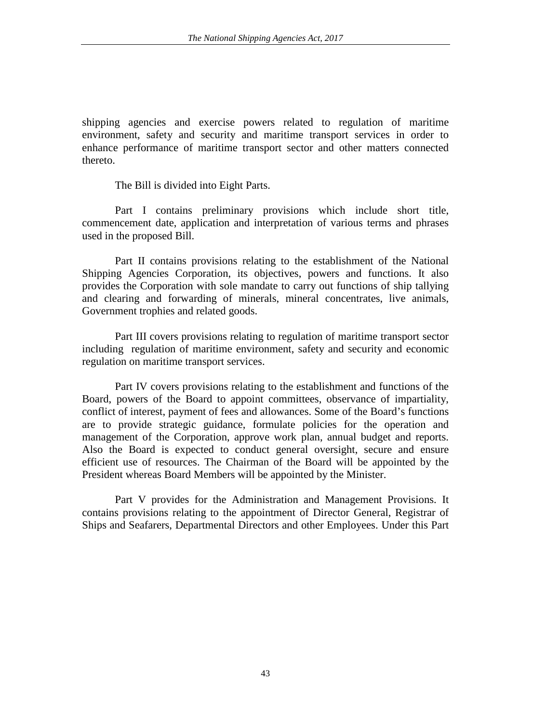shipping agencies and exercise powers related to regulation of maritime environment, safety and security and maritime transport services in order to enhance performance of maritime transport sector and other matters connected thereto.

The Bill is divided into Eight Parts.

Part I contains preliminary provisions which include short title, commencement date, application and interpretation of various terms and phrases used in the proposed Bill.

Part II contains provisions relating to the establishment of the National Shipping Agencies Corporation, its objectives, powers and functions. It also provides the Corporation with sole mandate to carry out functions of ship tallying and clearing and forwarding of minerals, mineral concentrates, live animals, Government trophies and related goods.

Part III covers provisions relating to regulation of maritime transport sector including regulation of maritime environment, safety and security and economic regulation on maritime transport services.

Part IV covers provisions relating to the establishment and functions of the Board, powers of the Board to appoint committees, observance of impartiality, conflict of interest, payment of fees and allowances. Some of the Board's functions are to provide strategic guidance, formulate policies for the operation and management of the Corporation, approve work plan, annual budget and reports. Also the Board is expected to conduct general oversight, secure and ensure efficient use of resources. The Chairman of the Board will be appointed by the President whereas Board Members will be appointed by the Minister.

Part V provides for the Administration and Management Provisions. It contains provisions relating to the appointment of Director General, Registrar of Ships and Seafarers, Departmental Directors and other Employees. Under this Part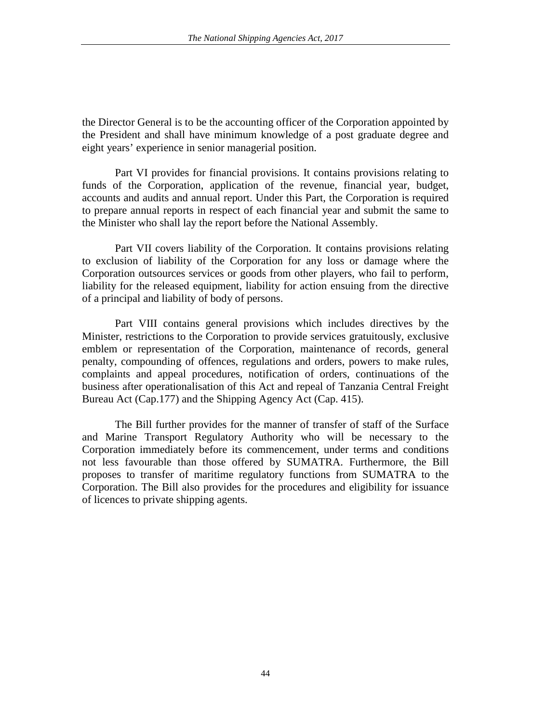the Director General is to be the accounting officer of the Corporation appointed by the President and shall have minimum knowledge of a post graduate degree and eight years' experience in senior managerial position.

Part VI provides for financial provisions. It contains provisions relating to funds of the Corporation, application of the revenue, financial year, budget, accounts and audits and annual report. Under this Part, the Corporation is required to prepare annual reports in respect of each financial year and submit the same to the Minister who shall lay the report before the National Assembly.

Part VII covers liability of the Corporation. It contains provisions relating to exclusion of liability of the Corporation for any loss or damage where the Corporation outsources services or goods from other players, who fail to perform, liability for the released equipment, liability for action ensuing from the directive of a principal and liability of body of persons.

Part VIII contains general provisions which includes directives by the Minister, restrictions to the Corporation to provide services gratuitously, exclusive emblem or representation of the Corporation, maintenance of records, general penalty, compounding of offences, regulations and orders, powers to make rules, complaints and appeal procedures, notification of orders, continuations of the business after operationalisation of this Act and repeal of Tanzania Central Freight Bureau Act (Cap.177) and the Shipping Agency Act (Cap. 415).

The Bill further provides for the manner of transfer of staff of the Surface and Marine Transport Regulatory Authority who will be necessary to the Corporation immediately before its commencement, under terms and conditions not less favourable than those offered by SUMATRA. Furthermore, the Bill proposes to transfer of maritime regulatory functions from SUMATRA to the Corporation. The Bill also provides for the procedures and eligibility for issuance of licences to private shipping agents.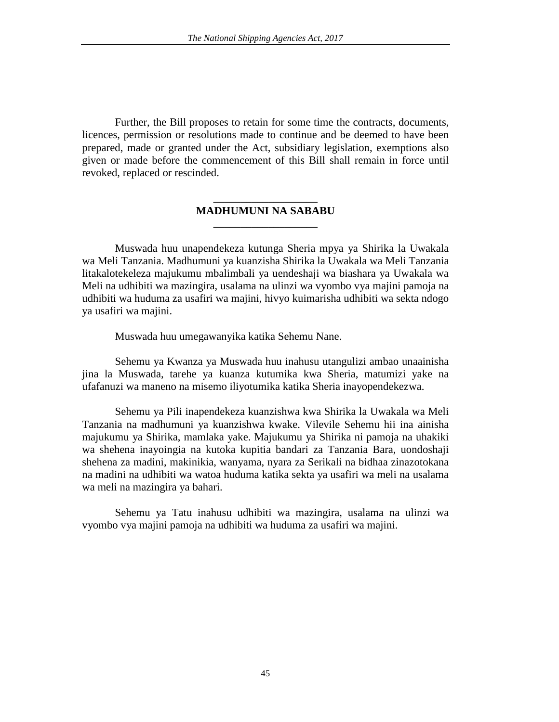Further, the Bill proposes to retain for some time the contracts, documents, licences, permission or resolutions made to continue and be deemed to have been prepared, made or granted under the Act, subsidiary legislation, exemptions also given or made before the commencement of this Bill shall remain in force until revoked, replaced or rescinded.

# \_\_\_\_\_\_\_\_\_\_\_\_\_\_\_\_\_\_\_ **MADHUMUNI NA SABABU** \_\_\_\_\_\_\_\_\_\_\_\_\_\_\_\_\_\_\_

Muswada huu unapendekeza kutunga Sheria mpya ya Shirika la Uwakala wa Meli Tanzania. Madhumuni ya kuanzisha Shirika la Uwakala wa Meli Tanzania litakalotekeleza majukumu mbalimbali ya uendeshaji wa biashara ya Uwakala wa Meli na udhibiti wa mazingira, usalama na ulinzi wa vyombo vya majini pamoja na udhibiti wa huduma za usafiri wa majini, hivyo kuimarisha udhibiti wa sekta ndogo ya usafiri wa majini.

Muswada huu umegawanyika katika Sehemu Nane.

Sehemu ya Kwanza ya Muswada huu inahusu utangulizi ambao unaainisha jina la Muswada, tarehe ya kuanza kutumika kwa Sheria, matumizi yake na ufafanuzi wa maneno na misemo iliyotumika katika Sheria inayopendekezwa.

Sehemu ya Pili inapendekeza kuanzishwa kwa Shirika la Uwakala wa Meli Tanzania na madhumuni ya kuanzishwa kwake. Vilevile Sehemu hii ina ainisha majukumu ya Shirika, mamlaka yake. Majukumu ya Shirika ni pamoja na uhakiki wa shehena inayoingia na kutoka kupitia bandari za Tanzania Bara, uondoshaji shehena za madini, makinikia, wanyama, nyara za Serikali na bidhaa zinazotokana na madini na udhibiti wa watoa huduma katika sekta ya usafiri wa meli na usalama wa meli na mazingira ya bahari.

Sehemu ya Tatu inahusu udhibiti wa mazingira, usalama na ulinzi wa vyombo vya majini pamoja na udhibiti wa huduma za usafiri wa majini.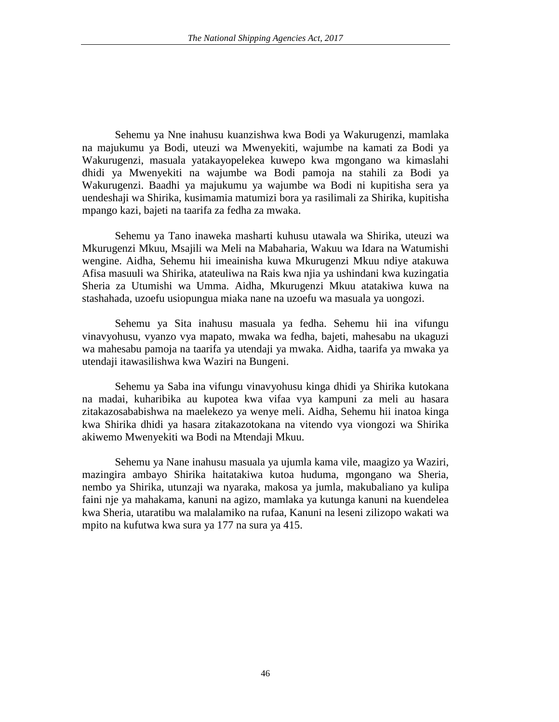Sehemu ya Nne inahusu kuanzishwa kwa Bodi ya Wakurugenzi, mamlaka na majukumu ya Bodi, uteuzi wa Mwenyekiti, wajumbe na kamati za Bodi ya Wakurugenzi, masuala yatakayopelekea kuwepo kwa mgongano wa kimaslahi dhidi ya Mwenyekiti na wajumbe wa Bodi pamoja na stahili za Bodi ya Wakurugenzi. Baadhi ya majukumu ya wajumbe wa Bodi ni kupitisha sera ya uendeshaji wa Shirika, kusimamia matumizi bora ya rasilimali za Shirika, kupitisha mpango kazi, bajeti na taarifa za fedha za mwaka.

Sehemu ya Tano inaweka masharti kuhusu utawala wa Shirika, uteuzi wa Mkurugenzi Mkuu, Msajili wa Meli na Mabaharia, Wakuu wa Idara na Watumishi wengine. Aidha, Sehemu hii imeainisha kuwa Mkurugenzi Mkuu ndiye atakuwa Afisa masuuli wa Shirika, atateuliwa na Rais kwa njia ya ushindani kwa kuzingatia Sheria za Utumishi wa Umma. Aidha, Mkurugenzi Mkuu atatakiwa kuwa na stashahada, uzoefu usiopungua miaka nane na uzoefu wa masuala ya uongozi.

Sehemu ya Sita inahusu masuala ya fedha. Sehemu hii ina vifungu vinavyohusu, vyanzo vya mapato, mwaka wa fedha, bajeti, mahesabu na ukaguzi wa mahesabu pamoja na taarifa ya utendaji ya mwaka. Aidha, taarifa ya mwaka ya utendaji itawasilishwa kwa Waziri na Bungeni.

Sehemu ya Saba ina vifungu vinavyohusu kinga dhidi ya Shirika kutokana na madai, kuharibika au kupotea kwa vifaa vya kampuni za meli au hasara zitakazosababishwa na maelekezo ya wenye meli. Aidha, Sehemu hii inatoa kinga kwa Shirika dhidi ya hasara zitakazotokana na vitendo vya viongozi wa Shirika akiwemo Mwenyekiti wa Bodi na Mtendaji Mkuu.

Sehemu ya Nane inahusu masuala ya ujumla kama vile, maagizo ya Waziri, mazingira ambayo Shirika haitatakiwa kutoa huduma, mgongano wa Sheria, nembo ya Shirika, utunzaji wa nyaraka, makosa ya jumla, makubaliano ya kulipa faini nje ya mahakama, kanuni na agizo, mamlaka ya kutunga kanuni na kuendelea kwa Sheria, utaratibu wa malalamiko na rufaa, Kanuni na leseni zilizopo wakati wa mpito na kufutwa kwa sura ya 177 na sura ya 415.